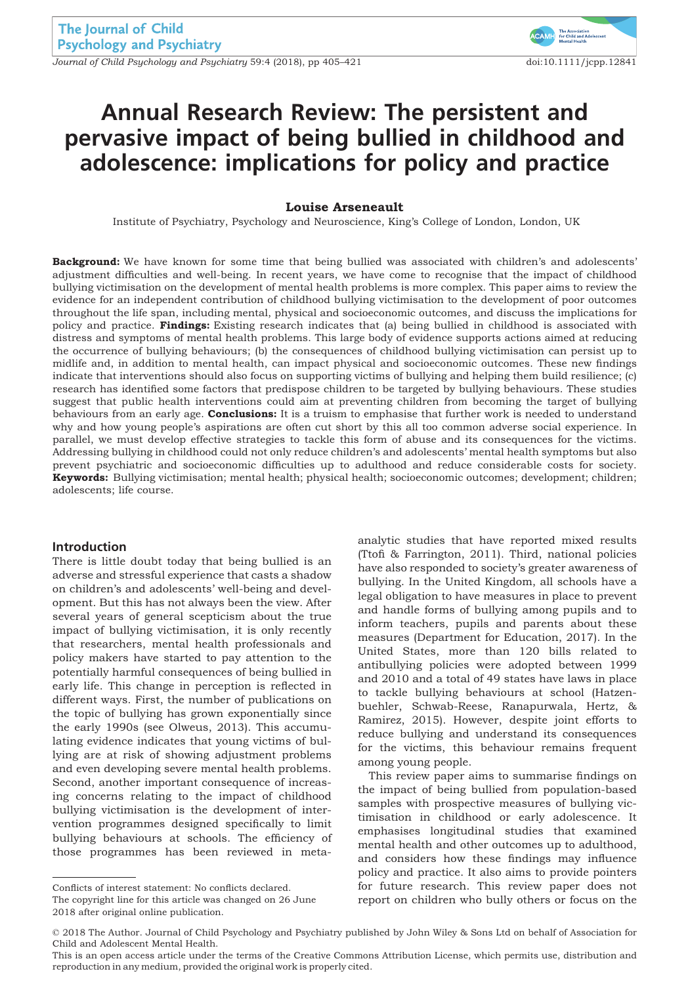Journal of Child Psychology and Psychiatry 59:4 (2018), pp 405–421 doi:10.1111/jcpp.12841



# Annual Research Review: The persistent and pervasive impact of being bullied in childhood and adolescence: implications for policy and practice

## Louise Arseneault

Institute of Psychiatry, Psychology and Neuroscience, King's College of London, London, UK

Background: We have known for some time that being bullied was associated with children's and adolescents' adjustment difficulties and well-being. In recent years, we have come to recognise that the impact of childhood bullying victimisation on the development of mental health problems is more complex. This paper aims to review the evidence for an independent contribution of childhood bullying victimisation to the development of poor outcomes throughout the life span, including mental, physical and socioeconomic outcomes, and discuss the implications for policy and practice. Findings: Existing research indicates that (a) being bullied in childhood is associated with distress and symptoms of mental health problems. This large body of evidence supports actions aimed at reducing the occurrence of bullying behaviours; (b) the consequences of childhood bullying victimisation can persist up to midlife and, in addition to mental health, can impact physical and socioeconomic outcomes. These new findings indicate that interventions should also focus on supporting victims of bullying and helping them build resilience; (c) research has identified some factors that predispose children to be targeted by bullying behaviours. These studies suggest that public health interventions could aim at preventing children from becoming the target of bullying behaviours from an early age. **Conclusions:** It is a truism to emphasise that further work is needed to understand why and how young people's aspirations are often cut short by this all too common adverse social experience. In parallel, we must develop effective strategies to tackle this form of abuse and its consequences for the victims. Addressing bullying in childhood could not only reduce children's and adolescents' mental health symptoms but also prevent psychiatric and socioeconomic difficulties up to adulthood and reduce considerable costs for society. Keywords: Bullying victimisation; mental health; physical health; socioeconomic outcomes; development; children; adolescents; life course.

## Introduction

There is little doubt today that being bullied is an adverse and stressful experience that casts a shadow on children's and adolescents' well-being and development. But this has not always been the view. After several years of general scepticism about the true impact of bullying victimisation, it is only recently that researchers, mental health professionals and policy makers have started to pay attention to the potentially harmful consequences of being bullied in early life. This change in perception is reflected in different ways. First, the number of publications on the topic of bullying has grown exponentially since the early 1990s (see Olweus, 2013). This accumulating evidence indicates that young victims of bullying are at risk of showing adjustment problems and even developing severe mental health problems. Second, another important consequence of increasing concerns relating to the impact of childhood bullying victimisation is the development of intervention programmes designed specifically to limit bullying behaviours at schools. The efficiency of those programmes has been reviewed in meta-

This review paper aims to summarise findings on the impact of being bullied from population-based samples with prospective measures of bullying victimisation in childhood or early adolescence. It emphasises longitudinal studies that examined mental health and other outcomes up to adulthood, and considers how these findings may influence policy and practice. It also aims to provide pointers for future research. This review paper does not report on children who bully others or focus on the

This is an open access article under the terms of the [Creative Commons Attribution](http://creativecommons.org/licenses/by/4.0/) License, which permits use, distribution and reproduction in any medium, provided the original work is properly cited.

analytic studies that have reported mixed results (Ttofi & Farrington, 2011). Third, national policies have also responded to society's greater awareness of bullying. In the United Kingdom, all schools have a legal obligation to have measures in place to prevent and handle forms of bullying among pupils and to inform teachers, pupils and parents about these measures (Department for Education, 2017). In the United States, more than 120 bills related to antibullying policies were adopted between 1999 and 2010 and a total of 49 states have laws in place to tackle bullying behaviours at school (Hatzenbuehler, Schwab-Reese, Ranapurwala, Hertz, & Ramirez, 2015). However, despite joint efforts to reduce bullying and understand its consequences for the victims, this behaviour remains frequent among young people.

Conflicts of interest statement: No conflicts declared. The copyright line for this article was changed on 26 June 2018 after original online publication.

<sup>©</sup> 2018 The Author. Journal of Child Psychology and Psychiatry published by John Wiley & Sons Ltd on behalf of Association for Child and Adolescent Mental Health.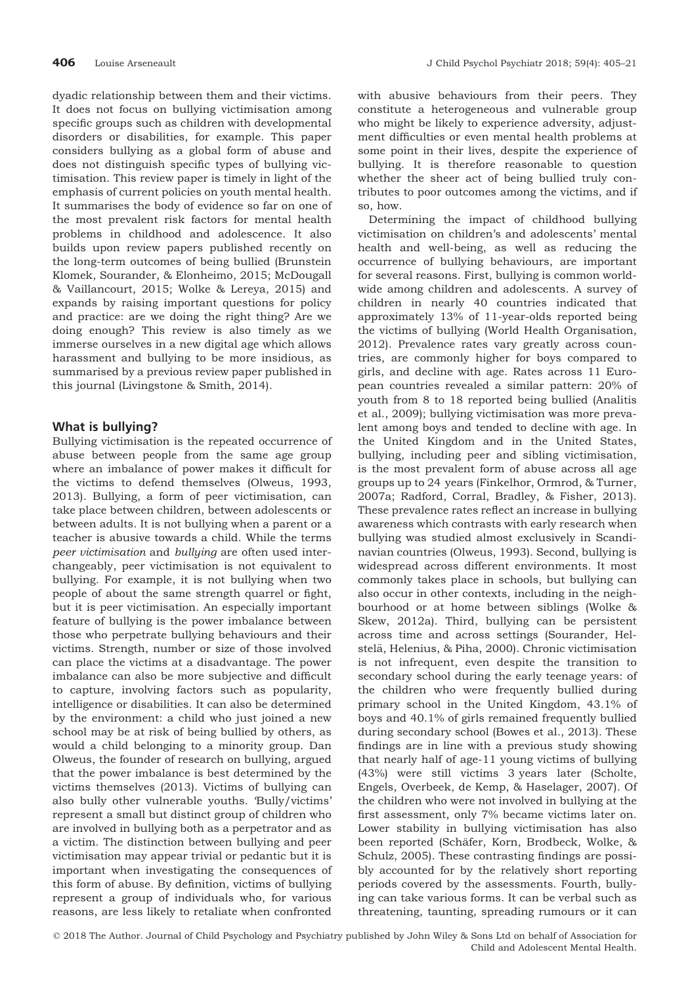dyadic relationship between them and their victims. It does not focus on bullying victimisation among specific groups such as children with developmental disorders or disabilities, for example. This paper considers bullying as a global form of abuse and does not distinguish specific types of bullying victimisation. This review paper is timely in light of the emphasis of current policies on youth mental health. It summarises the body of evidence so far on one of the most prevalent risk factors for mental health problems in childhood and adolescence. It also builds upon review papers published recently on the long-term outcomes of being bullied (Brunstein Klomek, Sourander, & Elonheimo, 2015; McDougall & Vaillancourt, 2015; Wolke & Lereya, 2015) and expands by raising important questions for policy and practice: are we doing the right thing? Are we doing enough? This review is also timely as we immerse ourselves in a new digital age which allows harassment and bullying to be more insidious, as summarised by a previous review paper published in this journal (Livingstone & Smith, 2014).

# What is bullying?

Bullying victimisation is the repeated occurrence of abuse between people from the same age group where an imbalance of power makes it difficult for the victims to defend themselves (Olweus, 1993, 2013). Bullying, a form of peer victimisation, can take place between children, between adolescents or between adults. It is not bullying when a parent or a teacher is abusive towards a child. While the terms peer victimisation and bullying are often used interchangeably, peer victimisation is not equivalent to bullying. For example, it is not bullying when two people of about the same strength quarrel or fight, but it is peer victimisation. An especially important feature of bullying is the power imbalance between those who perpetrate bullying behaviours and their victims. Strength, number or size of those involved can place the victims at a disadvantage. The power imbalance can also be more subjective and difficult to capture, involving factors such as popularity, intelligence or disabilities. It can also be determined by the environment: a child who just joined a new school may be at risk of being bullied by others, as would a child belonging to a minority group. Dan Olweus, the founder of research on bullying, argued that the power imbalance is best determined by the victims themselves (2013). Victims of bullying can also bully other vulnerable youths. 'Bully/victims' represent a small but distinct group of children who are involved in bullying both as a perpetrator and as a victim. The distinction between bullying and peer victimisation may appear trivial or pedantic but it is important when investigating the consequences of this form of abuse. By definition, victims of bullying represent a group of individuals who, for various reasons, are less likely to retaliate when confronted

with abusive behaviours from their peers. They constitute a heterogeneous and vulnerable group who might be likely to experience adversity, adjustment difficulties or even mental health problems at some point in their lives, despite the experience of bullying. It is therefore reasonable to question whether the sheer act of being bullied truly contributes to poor outcomes among the victims, and if so, how.

Determining the impact of childhood bullying victimisation on children's and adolescents' mental health and well-being, as well as reducing the occurrence of bullying behaviours, are important for several reasons. First, bullying is common worldwide among children and adolescents. A survey of children in nearly 40 countries indicated that approximately 13% of 11-year-olds reported being the victims of bullying (World Health Organisation, 2012). Prevalence rates vary greatly across countries, are commonly higher for boys compared to girls, and decline with age. Rates across 11 European countries revealed a similar pattern: 20% of youth from 8 to 18 reported being bullied (Analitis et al., 2009); bullying victimisation was more prevalent among boys and tended to decline with age. In the United Kingdom and in the United States, bullying, including peer and sibling victimisation, is the most prevalent form of abuse across all age groups up to 24 years (Finkelhor, Ormrod, & Turner, 2007a; Radford, Corral, Bradley, & Fisher, 2013). These prevalence rates reflect an increase in bullying awareness which contrasts with early research when bullying was studied almost exclusively in Scandinavian countries (Olweus, 1993). Second, bullying is widespread across different environments. It most commonly takes place in schools, but bullying can also occur in other contexts, including in the neighbourhood or at home between siblings (Wolke & Skew, 2012a). Third, bullying can be persistent across time and across settings (Sourander, Helstelä, Helenius, & Piha, 2000). Chronic victimisation is not infrequent, even despite the transition to secondary school during the early teenage years: of the children who were frequently bullied during primary school in the United Kingdom, 43.1% of boys and 40.1% of girls remained frequently bullied during secondary school (Bowes et al., 2013). These findings are in line with a previous study showing that nearly half of age-11 young victims of bullying (43%) were still victims 3 years later (Scholte, Engels, Overbeek, de Kemp, & Haselager, 2007). Of the children who were not involved in bullying at the first assessment, only 7% became victims later on. Lower stability in bullying victimisation has also been reported (Schäfer, Korn, Brodbeck, Wolke, & Schulz, 2005). These contrasting findings are possibly accounted for by the relatively short reporting periods covered by the assessments. Fourth, bullying can take various forms. It can be verbal such as threatening, taunting, spreading rumours or it can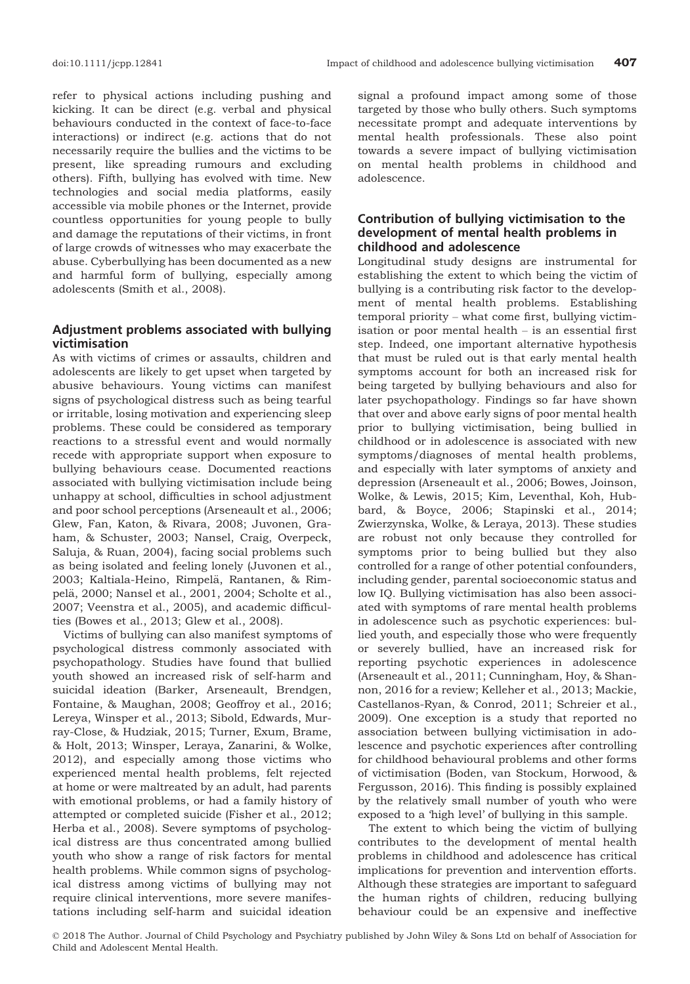refer to physical actions including pushing and kicking. It can be direct (e.g. verbal and physical behaviours conducted in the context of face-to-face interactions) or indirect (e.g. actions that do not necessarily require the bullies and the victims to be present, like spreading rumours and excluding others). Fifth, bullying has evolved with time. New technologies and social media platforms, easily accessible via mobile phones or the Internet, provide countless opportunities for young people to bully and damage the reputations of their victims, in front of large crowds of witnesses who may exacerbate the abuse. Cyberbullying has been documented as a new and harmful form of bullying, especially among adolescents (Smith et al., 2008).

# Adjustment problems associated with bullying victimisation

As with victims of crimes or assaults, children and adolescents are likely to get upset when targeted by abusive behaviours. Young victims can manifest signs of psychological distress such as being tearful or irritable, losing motivation and experiencing sleep problems. These could be considered as temporary reactions to a stressful event and would normally recede with appropriate support when exposure to bullying behaviours cease. Documented reactions associated with bullying victimisation include being unhappy at school, difficulties in school adjustment and poor school perceptions (Arseneault et al., 2006; Glew, Fan, Katon, & Rivara, 2008; Juvonen, Graham, & Schuster, 2003; Nansel, Craig, Overpeck, Saluja, & Ruan, 2004), facing social problems such as being isolated and feeling lonely (Juvonen et al., 2003; Kaltiala-Heino, Rimpelä, Rantanen, & Rimpelä, 2000; Nansel et al., 2001, 2004; Scholte et al., 2007; Veenstra et al., 2005), and academic difficulties (Bowes et al., 2013; Glew et al., 2008).

Victims of bullying can also manifest symptoms of psychological distress commonly associated with psychopathology. Studies have found that bullied youth showed an increased risk of self-harm and suicidal ideation (Barker, Arseneault, Brendgen, Fontaine, & Maughan, 2008; Geoffroy et al., 2016; Lereya, Winsper et al., 2013; Sibold, Edwards, Murray-Close, & Hudziak, 2015; Turner, Exum, Brame, & Holt, 2013; Winsper, Leraya, Zanarini, & Wolke, 2012), and especially among those victims who experienced mental health problems, felt rejected at home or were maltreated by an adult, had parents with emotional problems, or had a family history of attempted or completed suicide (Fisher et al., 2012; Herba et al., 2008). Severe symptoms of psychological distress are thus concentrated among bullied youth who show a range of risk factors for mental health problems. While common signs of psychological distress among victims of bullying may not require clinical interventions, more severe manifestations including self-harm and suicidal ideation

signal a profound impact among some of those targeted by those who bully others. Such symptoms necessitate prompt and adequate interventions by mental health professionals. These also point towards a severe impact of bullying victimisation on mental health problems in childhood and adolescence.

# Contribution of bullying victimisation to the development of mental health problems in childhood and adolescence

Longitudinal study designs are instrumental for establishing the extent to which being the victim of bullying is a contributing risk factor to the development of mental health problems. Establishing temporal priority – what come first, bullying victimisation or poor mental health  $-$  is an essential first step. Indeed, one important alternative hypothesis that must be ruled out is that early mental health symptoms account for both an increased risk for being targeted by bullying behaviours and also for later psychopathology. Findings so far have shown that over and above early signs of poor mental health prior to bullying victimisation, being bullied in childhood or in adolescence is associated with new symptoms/diagnoses of mental health problems, and especially with later symptoms of anxiety and depression (Arseneault et al., 2006; Bowes, Joinson, Wolke, & Lewis, 2015; Kim, Leventhal, Koh, Hubbard, & Boyce, 2006; Stapinski et al., 2014; Zwierzynska, Wolke, & Leraya, 2013). These studies are robust not only because they controlled for symptoms prior to being bullied but they also controlled for a range of other potential confounders, including gender, parental socioeconomic status and low IQ. Bullying victimisation has also been associated with symptoms of rare mental health problems in adolescence such as psychotic experiences: bullied youth, and especially those who were frequently or severely bullied, have an increased risk for reporting psychotic experiences in adolescence (Arseneault et al., 2011; Cunningham, Hoy, & Shannon, 2016 for a review; Kelleher et al., 2013; Mackie, Castellanos-Ryan, & Conrod, 2011; Schreier et al., 2009). One exception is a study that reported no association between bullying victimisation in adolescence and psychotic experiences after controlling for childhood behavioural problems and other forms of victimisation (Boden, van Stockum, Horwood, & Fergusson, 2016). This finding is possibly explained by the relatively small number of youth who were exposed to a 'high level' of bullying in this sample.

The extent to which being the victim of bullying contributes to the development of mental health problems in childhood and adolescence has critical implications for prevention and intervention efforts. Although these strategies are important to safeguard the human rights of children, reducing bullying behaviour could be an expensive and ineffective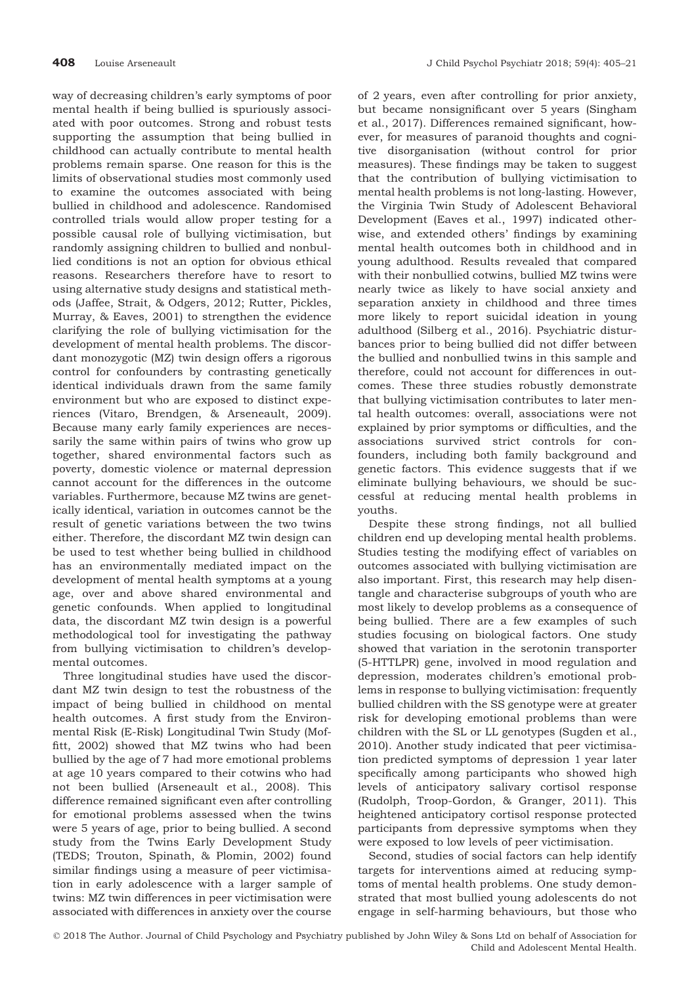way of decreasing children's early symptoms of poor mental health if being bullied is spuriously associated with poor outcomes. Strong and robust tests supporting the assumption that being bullied in childhood can actually contribute to mental health problems remain sparse. One reason for this is the limits of observational studies most commonly used to examine the outcomes associated with being bullied in childhood and adolescence. Randomised controlled trials would allow proper testing for a possible causal role of bullying victimisation, but randomly assigning children to bullied and nonbullied conditions is not an option for obvious ethical reasons. Researchers therefore have to resort to using alternative study designs and statistical methods (Jaffee, Strait, & Odgers, 2012; Rutter, Pickles, Murray, & Eaves, 2001) to strengthen the evidence clarifying the role of bullying victimisation for the development of mental health problems. The discordant monozygotic (MZ) twin design offers a rigorous control for confounders by contrasting genetically identical individuals drawn from the same family environment but who are exposed to distinct experiences (Vitaro, Brendgen, & Arseneault, 2009). Because many early family experiences are necessarily the same within pairs of twins who grow up together, shared environmental factors such as poverty, domestic violence or maternal depression cannot account for the differences in the outcome variables. Furthermore, because MZ twins are genetically identical, variation in outcomes cannot be the result of genetic variations between the two twins either. Therefore, the discordant MZ twin design can be used to test whether being bullied in childhood has an environmentally mediated impact on the development of mental health symptoms at a young age, over and above shared environmental and genetic confounds. When applied to longitudinal data, the discordant MZ twin design is a powerful methodological tool for investigating the pathway from bullying victimisation to children's developmental outcomes.

Three longitudinal studies have used the discordant MZ twin design to test the robustness of the impact of being bullied in childhood on mental health outcomes. A first study from the Environmental Risk (E-Risk) Longitudinal Twin Study (Moffitt, 2002) showed that MZ twins who had been bullied by the age of 7 had more emotional problems at age 10 years compared to their cotwins who had not been bullied (Arseneault et al., 2008). This difference remained significant even after controlling for emotional problems assessed when the twins were 5 years of age, prior to being bullied. A second study from the Twins Early Development Study (TEDS; Trouton, Spinath, & Plomin, 2002) found similar findings using a measure of peer victimisation in early adolescence with a larger sample of twins: MZ twin differences in peer victimisation were associated with differences in anxiety over the course

of 2 years, even after controlling for prior anxiety, but became nonsignificant over 5 years (Singham et al., 2017). Differences remained significant, however, for measures of paranoid thoughts and cognitive disorganisation (without control for prior measures). These findings may be taken to suggest that the contribution of bullying victimisation to mental health problems is not long-lasting. However, the Virginia Twin Study of Adolescent Behavioral Development (Eaves et al., 1997) indicated otherwise, and extended others' findings by examining mental health outcomes both in childhood and in young adulthood. Results revealed that compared with their nonbullied cotwins, bullied MZ twins were nearly twice as likely to have social anxiety and separation anxiety in childhood and three times more likely to report suicidal ideation in young adulthood (Silberg et al., 2016). Psychiatric disturbances prior to being bullied did not differ between the bullied and nonbullied twins in this sample and therefore, could not account for differences in outcomes. These three studies robustly demonstrate that bullying victimisation contributes to later mental health outcomes: overall, associations were not explained by prior symptoms or difficulties, and the associations survived strict controls for confounders, including both family background and genetic factors. This evidence suggests that if we eliminate bullying behaviours, we should be successful at reducing mental health problems in youths.

Despite these strong findings, not all bullied children end up developing mental health problems. Studies testing the modifying effect of variables on outcomes associated with bullying victimisation are also important. First, this research may help disentangle and characterise subgroups of youth who are most likely to develop problems as a consequence of being bullied. There are a few examples of such studies focusing on biological factors. One study showed that variation in the serotonin transporter (5-HTTLPR) gene, involved in mood regulation and depression, moderates children's emotional problems in response to bullying victimisation: frequently bullied children with the SS genotype were at greater risk for developing emotional problems than were children with the SL or LL genotypes (Sugden et al., 2010). Another study indicated that peer victimisation predicted symptoms of depression 1 year later specifically among participants who showed high levels of anticipatory salivary cortisol response (Rudolph, Troop-Gordon, & Granger, 2011). This heightened anticipatory cortisol response protected participants from depressive symptoms when they were exposed to low levels of peer victimisation.

Second, studies of social factors can help identify targets for interventions aimed at reducing symptoms of mental health problems. One study demonstrated that most bullied young adolescents do not engage in self-harming behaviours, but those who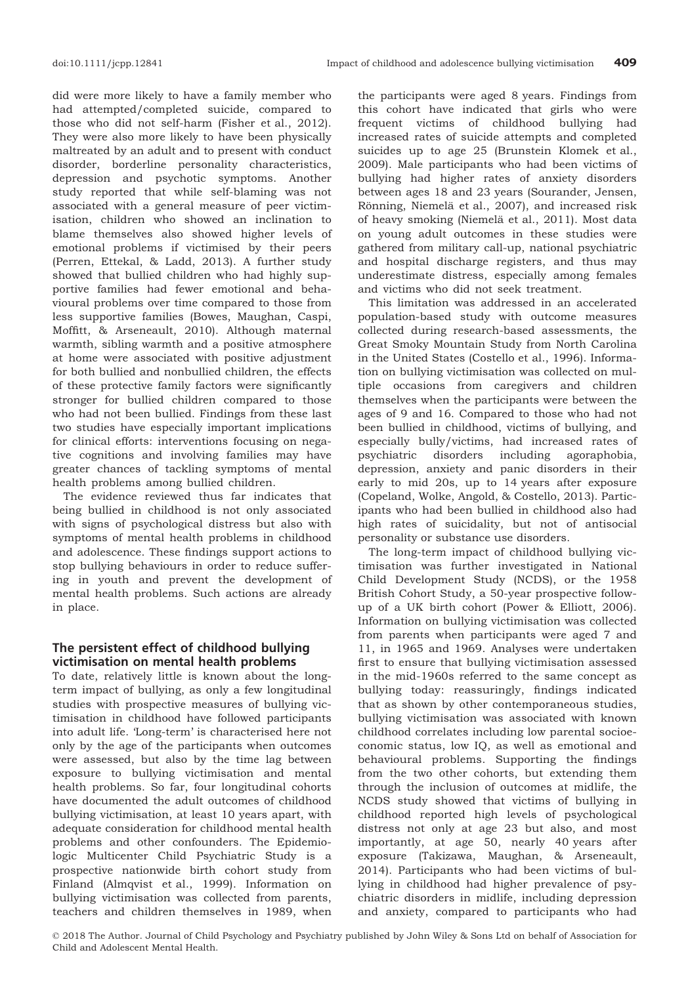did were more likely to have a family member who had attempted/completed suicide, compared to those who did not self-harm (Fisher et al., 2012). They were also more likely to have been physically maltreated by an adult and to present with conduct disorder, borderline personality characteristics, depression and psychotic symptoms. Another study reported that while self-blaming was not associated with a general measure of peer victimisation, children who showed an inclination to blame themselves also showed higher levels of emotional problems if victimised by their peers (Perren, Ettekal, & Ladd, 2013). A further study showed that bullied children who had highly supportive families had fewer emotional and behavioural problems over time compared to those from less supportive families (Bowes, Maughan, Caspi, Moffitt, & Arseneault, 2010). Although maternal warmth, sibling warmth and a positive atmosphere at home were associated with positive adjustment for both bullied and nonbullied children, the effects of these protective family factors were significantly stronger for bullied children compared to those who had not been bullied. Findings from these last two studies have especially important implications for clinical efforts: interventions focusing on negative cognitions and involving families may have greater chances of tackling symptoms of mental health problems among bullied children.

The evidence reviewed thus far indicates that being bullied in childhood is not only associated with signs of psychological distress but also with symptoms of mental health problems in childhood and adolescence. These findings support actions to stop bullying behaviours in order to reduce suffering in youth and prevent the development of mental health problems. Such actions are already in place.

# The persistent effect of childhood bullying victimisation on mental health problems

To date, relatively little is known about the longterm impact of bullying, as only a few longitudinal studies with prospective measures of bullying victimisation in childhood have followed participants into adult life. 'Long-term' is characterised here not only by the age of the participants when outcomes were assessed, but also by the time lag between exposure to bullying victimisation and mental health problems. So far, four longitudinal cohorts have documented the adult outcomes of childhood bullying victimisation, at least 10 years apart, with adequate consideration for childhood mental health problems and other confounders. The Epidemiologic Multicenter Child Psychiatric Study is a prospective nationwide birth cohort study from Finland (Almqvist et al., 1999). Information on bullying victimisation was collected from parents, teachers and children themselves in 1989, when

the participants were aged 8 years. Findings from this cohort have indicated that girls who were frequent victims of childhood bullying had increased rates of suicide attempts and completed suicides up to age 25 (Brunstein Klomek et al., 2009). Male participants who had been victims of bullying had higher rates of anxiety disorders between ages 18 and 23 years (Sourander, Jensen, Rönning, Niemelä et al., 2007), and increased risk of heavy smoking (Niemelä et al., 2011). Most data on young adult outcomes in these studies were gathered from military call-up, national psychiatric and hospital discharge registers, and thus may underestimate distress, especially among females and victims who did not seek treatment.

This limitation was addressed in an accelerated population-based study with outcome measures collected during research-based assessments, the Great Smoky Mountain Study from North Carolina in the United States (Costello et al., 1996). Information on bullying victimisation was collected on multiple occasions from caregivers and children themselves when the participants were between the ages of 9 and 16. Compared to those who had not been bullied in childhood, victims of bullying, and especially bully/victims, had increased rates of psychiatric disorders including agoraphobia, depression, anxiety and panic disorders in their early to mid 20s, up to 14 years after exposure (Copeland, Wolke, Angold, & Costello, 2013). Participants who had been bullied in childhood also had high rates of suicidality, but not of antisocial personality or substance use disorders.

The long-term impact of childhood bullying victimisation was further investigated in National Child Development Study (NCDS), or the 1958 British Cohort Study, a 50-year prospective followup of a UK birth cohort (Power & Elliott, 2006). Information on bullying victimisation was collected from parents when participants were aged 7 and 11, in 1965 and 1969. Analyses were undertaken first to ensure that bullying victimisation assessed in the mid-1960s referred to the same concept as bullying today: reassuringly, findings indicated that as shown by other contemporaneous studies, bullying victimisation was associated with known childhood correlates including low parental socioeconomic status, low IQ, as well as emotional and behavioural problems. Supporting the findings from the two other cohorts, but extending them through the inclusion of outcomes at midlife, the NCDS study showed that victims of bullying in childhood reported high levels of psychological distress not only at age 23 but also, and most importantly, at age 50, nearly 40 years after exposure (Takizawa, Maughan, & Arseneault, 2014). Participants who had been victims of bullying in childhood had higher prevalence of psychiatric disorders in midlife, including depression and anxiety, compared to participants who had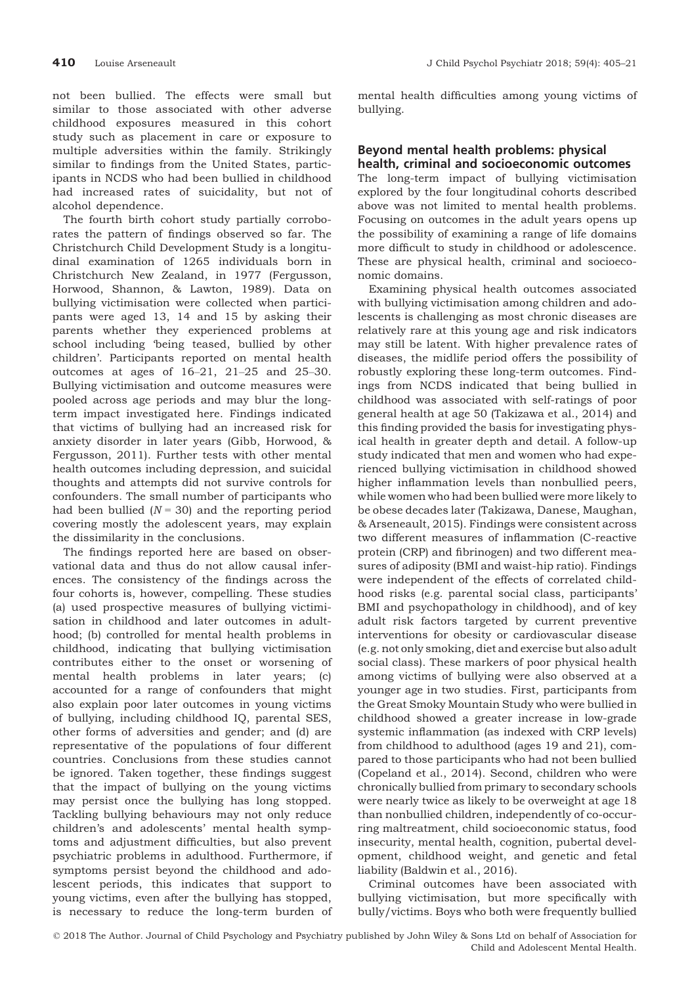not been bullied. The effects were small but similar to those associated with other adverse childhood exposures measured in this cohort study such as placement in care or exposure to multiple adversities within the family. Strikingly similar to findings from the United States, participants in NCDS who had been bullied in childhood had increased rates of suicidality, but not of

alcohol dependence. The fourth birth cohort study partially corroborates the pattern of findings observed so far. The Christchurch Child Development Study is a longitudinal examination of 1265 individuals born in Christchurch New Zealand, in 1977 (Fergusson, Horwood, Shannon, & Lawton, 1989). Data on bullying victimisation were collected when participants were aged 13, 14 and 15 by asking their parents whether they experienced problems at school including 'being teased, bullied by other children'. Participants reported on mental health outcomes at ages of 16–21, 21–25 and 25–30. Bullying victimisation and outcome measures were pooled across age periods and may blur the longterm impact investigated here. Findings indicated that victims of bullying had an increased risk for anxiety disorder in later years (Gibb, Horwood, & Fergusson, 2011). Further tests with other mental health outcomes including depression, and suicidal thoughts and attempts did not survive controls for confounders. The small number of participants who had been bullied ( $N = 30$ ) and the reporting period covering mostly the adolescent years, may explain the dissimilarity in the conclusions.

The findings reported here are based on observational data and thus do not allow causal inferences. The consistency of the findings across the four cohorts is, however, compelling. These studies (a) used prospective measures of bullying victimisation in childhood and later outcomes in adulthood; (b) controlled for mental health problems in childhood, indicating that bullying victimisation contributes either to the onset or worsening of mental health problems in later years; (c) accounted for a range of confounders that might also explain poor later outcomes in young victims of bullying, including childhood IQ, parental SES, other forms of adversities and gender; and (d) are representative of the populations of four different countries. Conclusions from these studies cannot be ignored. Taken together, these findings suggest that the impact of bullying on the young victims may persist once the bullying has long stopped. Tackling bullying behaviours may not only reduce children's and adolescents' mental health symptoms and adjustment difficulties, but also prevent psychiatric problems in adulthood. Furthermore, if symptoms persist beyond the childhood and adolescent periods, this indicates that support to young victims, even after the bullying has stopped, is necessary to reduce the long-term burden of mental health difficulties among young victims of bullying.

# Beyond mental health problems: physical health, criminal and socioeconomic outcomes

The long-term impact of bullying victimisation explored by the four longitudinal cohorts described above was not limited to mental health problems. Focusing on outcomes in the adult years opens up the possibility of examining a range of life domains more difficult to study in childhood or adolescence. These are physical health, criminal and socioeconomic domains.

Examining physical health outcomes associated with bullying victimisation among children and adolescents is challenging as most chronic diseases are relatively rare at this young age and risk indicators may still be latent. With higher prevalence rates of diseases, the midlife period offers the possibility of robustly exploring these long-term outcomes. Findings from NCDS indicated that being bullied in childhood was associated with self-ratings of poor general health at age 50 (Takizawa et al., 2014) and this finding provided the basis for investigating physical health in greater depth and detail. A follow-up study indicated that men and women who had experienced bullying victimisation in childhood showed higher inflammation levels than nonbullied peers, while women who had been bullied were more likely to be obese decades later (Takizawa, Danese, Maughan, & Arseneault, 2015). Findings were consistent across two different measures of inflammation (C-reactive protein (CRP) and fibrinogen) and two different measures of adiposity (BMI and waist-hip ratio). Findings were independent of the effects of correlated childhood risks (e.g. parental social class, participants' BMI and psychopathology in childhood), and of key adult risk factors targeted by current preventive interventions for obesity or cardiovascular disease (e.g. not only smoking, diet and exercise but also adult social class). These markers of poor physical health among victims of bullying were also observed at a younger age in two studies. First, participants from the Great Smoky Mountain Study who were bullied in childhood showed a greater increase in low-grade systemic inflammation (as indexed with CRP levels) from childhood to adulthood (ages 19 and 21), compared to those participants who had not been bullied (Copeland et al., 2014). Second, children who were chronically bullied from primary to secondary schools were nearly twice as likely to be overweight at age 18 than nonbullied children, independently of co-occurring maltreatment, child socioeconomic status, food insecurity, mental health, cognition, pubertal development, childhood weight, and genetic and fetal liability (Baldwin et al., 2016).

Criminal outcomes have been associated with bullying victimisation, but more specifically with bully/victims. Boys who both were frequently bullied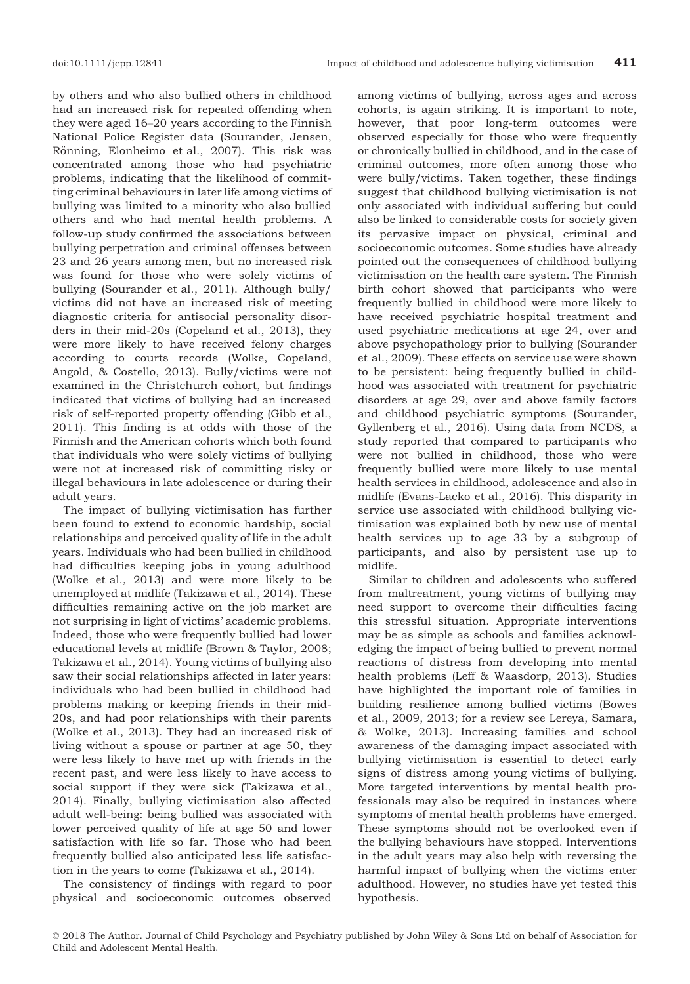by others and who also bullied others in childhood had an increased risk for repeated offending when they were aged 16–20 years according to the Finnish National Police Register data (Sourander, Jensen, Rönning, Elonheimo et al., 2007). This risk was concentrated among those who had psychiatric problems, indicating that the likelihood of committing criminal behaviours in later life among victims of bullying was limited to a minority who also bullied others and who had mental health problems. A follow-up study confirmed the associations between bullying perpetration and criminal offenses between 23 and 26 years among men, but no increased risk was found for those who were solely victims of bullying (Sourander et al., 2011). Although bully/ victims did not have an increased risk of meeting diagnostic criteria for antisocial personality disorders in their mid-20s (Copeland et al., 2013), they were more likely to have received felony charges according to courts records (Wolke, Copeland, Angold, & Costello, 2013). Bully/victims were not examined in the Christchurch cohort, but findings indicated that victims of bullying had an increased risk of self-reported property offending (Gibb et al., 2011). This finding is at odds with those of the Finnish and the American cohorts which both found that individuals who were solely victims of bullying were not at increased risk of committing risky or illegal behaviours in late adolescence or during their adult years.

The impact of bullying victimisation has further been found to extend to economic hardship, social relationships and perceived quality of life in the adult years. Individuals who had been bullied in childhood had difficulties keeping jobs in young adulthood (Wolke et al., 2013) and were more likely to be unemployed at midlife (Takizawa et al., 2014). These difficulties remaining active on the job market are not surprising in light of victims' academic problems. Indeed, those who were frequently bullied had lower educational levels at midlife (Brown & Taylor, 2008; Takizawa et al., 2014). Young victims of bullying also saw their social relationships affected in later years: individuals who had been bullied in childhood had problems making or keeping friends in their mid-20s, and had poor relationships with their parents (Wolke et al., 2013). They had an increased risk of living without a spouse or partner at age 50, they were less likely to have met up with friends in the recent past, and were less likely to have access to social support if they were sick (Takizawa et al., 2014). Finally, bullying victimisation also affected adult well-being: being bullied was associated with lower perceived quality of life at age 50 and lower satisfaction with life so far. Those who had been frequently bullied also anticipated less life satisfaction in the years to come (Takizawa et al., 2014).

The consistency of findings with regard to poor physical and socioeconomic outcomes observed

among victims of bullying, across ages and across cohorts, is again striking. It is important to note, however, that poor long-term outcomes were observed especially for those who were frequently or chronically bullied in childhood, and in the case of criminal outcomes, more often among those who were bully/victims. Taken together, these findings suggest that childhood bullying victimisation is not only associated with individual suffering but could also be linked to considerable costs for society given its pervasive impact on physical, criminal and socioeconomic outcomes. Some studies have already pointed out the consequences of childhood bullying victimisation on the health care system. The Finnish birth cohort showed that participants who were frequently bullied in childhood were more likely to have received psychiatric hospital treatment and used psychiatric medications at age 24, over and above psychopathology prior to bullying (Sourander et al., 2009). These effects on service use were shown to be persistent: being frequently bullied in childhood was associated with treatment for psychiatric disorders at age 29, over and above family factors and childhood psychiatric symptoms (Sourander, Gyllenberg et al., 2016). Using data from NCDS, a study reported that compared to participants who were not bullied in childhood, those who were frequently bullied were more likely to use mental health services in childhood, adolescence and also in midlife (Evans-Lacko et al., 2016). This disparity in service use associated with childhood bullying victimisation was explained both by new use of mental health services up to age 33 by a subgroup of participants, and also by persistent use up to midlife.

Similar to children and adolescents who suffered from maltreatment, young victims of bullying may need support to overcome their difficulties facing this stressful situation. Appropriate interventions may be as simple as schools and families acknowledging the impact of being bullied to prevent normal reactions of distress from developing into mental health problems (Leff & Waasdorp, 2013). Studies have highlighted the important role of families in building resilience among bullied victims (Bowes et al., 2009, 2013; for a review see Lereya, Samara, & Wolke, 2013). Increasing families and school awareness of the damaging impact associated with bullying victimisation is essential to detect early signs of distress among young victims of bullying. More targeted interventions by mental health professionals may also be required in instances where symptoms of mental health problems have emerged. These symptoms should not be overlooked even if the bullying behaviours have stopped. Interventions in the adult years may also help with reversing the harmful impact of bullying when the victims enter adulthood. However, no studies have yet tested this hypothesis.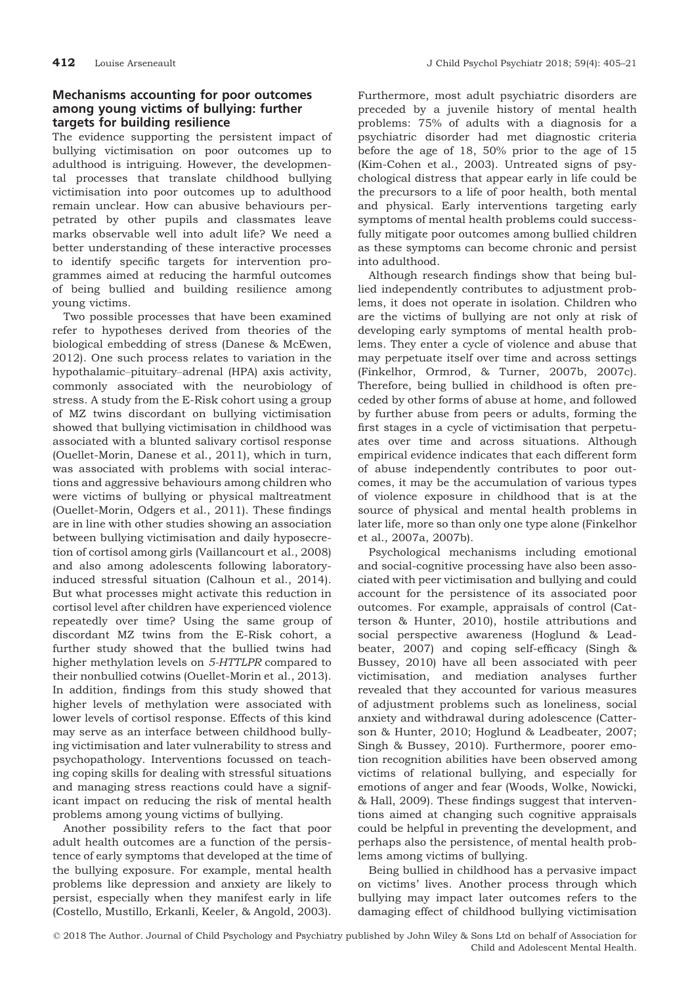# Mechanisms accounting for poor outcomes among young victims of bullying: further targets for building resilience

The evidence supporting the persistent impact of bullying victimisation on poor outcomes up to adulthood is intriguing. However, the developmental processes that translate childhood bullying victimisation into poor outcomes up to adulthood remain unclear. How can abusive behaviours perpetrated by other pupils and classmates leave marks observable well into adult life? We need a better understanding of these interactive processes to identify specific targets for intervention programmes aimed at reducing the harmful outcomes of being bullied and building resilience among young victims.

Two possible processes that have been examined refer to hypotheses derived from theories of the biological embedding of stress (Danese & McEwen, 2012). One such process relates to variation in the hypothalamic–pituitary–adrenal (HPA) axis activity, commonly associated with the neurobiology of stress. A study from the E-Risk cohort using a group of MZ twins discordant on bullying victimisation showed that bullying victimisation in childhood was associated with a blunted salivary cortisol response (Ouellet-Morin, Danese et al., 2011), which in turn, was associated with problems with social interactions and aggressive behaviours among children who were victims of bullying or physical maltreatment (Ouellet-Morin, Odgers et al., 2011). These findings are in line with other studies showing an association between bullying victimisation and daily hyposecretion of cortisol among girls (Vaillancourt et al., 2008) and also among adolescents following laboratoryinduced stressful situation (Calhoun et al., 2014). But what processes might activate this reduction in cortisol level after children have experienced violence repeatedly over time? Using the same group of discordant MZ twins from the E-Risk cohort, a further study showed that the bullied twins had higher methylation levels on 5-HTTLPR compared to their nonbullied cotwins (Ouellet-Morin et al., 2013). In addition, findings from this study showed that higher levels of methylation were associated with lower levels of cortisol response. Effects of this kind may serve as an interface between childhood bullying victimisation and later vulnerability to stress and psychopathology. Interventions focussed on teaching coping skills for dealing with stressful situations and managing stress reactions could have a significant impact on reducing the risk of mental health problems among young victims of bullying.

Another possibility refers to the fact that poor adult health outcomes are a function of the persistence of early symptoms that developed at the time of the bullying exposure. For example, mental health problems like depression and anxiety are likely to persist, especially when they manifest early in life (Costello, Mustillo, Erkanli, Keeler, & Angold, 2003).

Furthermore, most adult psychiatric disorders are preceded by a juvenile history of mental health problems: 75% of adults with a diagnosis for a psychiatric disorder had met diagnostic criteria before the age of 18, 50% prior to the age of 15 (Kim-Cohen et al., 2003). Untreated signs of psychological distress that appear early in life could be the precursors to a life of poor health, both mental and physical. Early interventions targeting early symptoms of mental health problems could successfully mitigate poor outcomes among bullied children as these symptoms can become chronic and persist into adulthood.

Although research findings show that being bullied independently contributes to adjustment problems, it does not operate in isolation. Children who are the victims of bullying are not only at risk of developing early symptoms of mental health problems. They enter a cycle of violence and abuse that may perpetuate itself over time and across settings (Finkelhor, Ormrod, & Turner, 2007b, 2007c). Therefore, being bullied in childhood is often preceded by other forms of abuse at home, and followed by further abuse from peers or adults, forming the first stages in a cycle of victimisation that perpetuates over time and across situations. Although empirical evidence indicates that each different form of abuse independently contributes to poor outcomes, it may be the accumulation of various types of violence exposure in childhood that is at the source of physical and mental health problems in later life, more so than only one type alone (Finkelhor et al., 2007a, 2007b).

Psychological mechanisms including emotional and social-cognitive processing have also been associated with peer victimisation and bullying and could account for the persistence of its associated poor outcomes. For example, appraisals of control (Catterson & Hunter, 2010), hostile attributions and social perspective awareness (Hoglund & Leadbeater, 2007) and coping self-efficacy (Singh & Bussey, 2010) have all been associated with peer victimisation, and mediation analyses further revealed that they accounted for various measures of adjustment problems such as loneliness, social anxiety and withdrawal during adolescence (Catterson & Hunter, 2010; Hoglund & Leadbeater, 2007; Singh & Bussey, 2010). Furthermore, poorer emotion recognition abilities have been observed among victims of relational bullying, and especially for emotions of anger and fear (Woods, Wolke, Nowicki, & Hall, 2009). These findings suggest that interventions aimed at changing such cognitive appraisals could be helpful in preventing the development, and perhaps also the persistence, of mental health problems among victims of bullying.

Being bullied in childhood has a pervasive impact on victims' lives. Another process through which bullying may impact later outcomes refers to the damaging effect of childhood bullying victimisation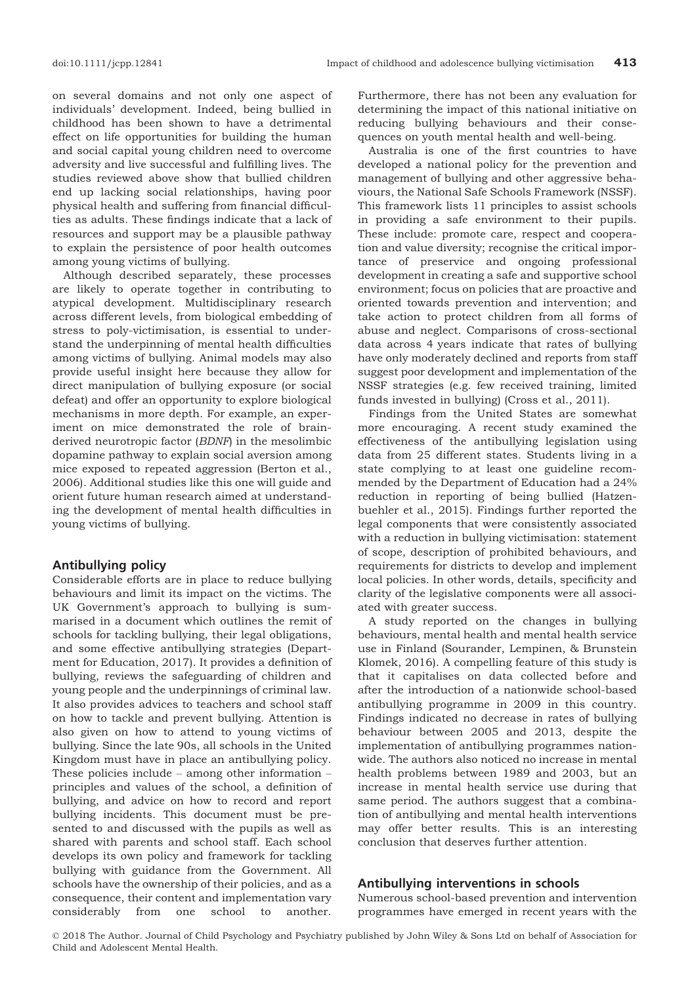on several domains and not only one aspect of individuals' development. Indeed, being bullied in childhood has been shown to have a detrimental effect on life opportunities for building the human and social capital young children need to overcome adversity and live successful and fulfilling lives. The studies reviewed above show that bullied children end up lacking social relationships, having poor physical health and suffering from financial difficulties as adults. These findings indicate that a lack of resources and support may be a plausible pathway to explain the persistence of poor health outcomes among young victims of bullying.

Although described separately, these processes are likely to operate together in contributing to atypical development. Multidisciplinary research across different levels, from biological embedding of stress to poly-victimisation, is essential to understand the underpinning of mental health difficulties among victims of bullying. Animal models may also provide useful insight here because they allow for direct manipulation of bullying exposure (or social defeat) and offer an opportunity to explore biological mechanisms in more depth. For example, an experiment on mice demonstrated the role of brainderived neurotropic factor (BDNF) in the mesolimbic dopamine pathway to explain social aversion among mice exposed to repeated aggression (Berton et al., 2006). Additional studies like this one will guide and orient future human research aimed at understanding the development of mental health difficulties in young victims of bullying.

## Antibullying policy

Considerable efforts are in place to reduce bullying behaviours and limit its impact on the victims. The UK Government's approach to bullying is summarised in a document which outlines the remit of schools for tackling bullying, their legal obligations, and some effective antibullying strategies (Department for Education, 2017). It provides a definition of bullying, reviews the safeguarding of children and young people and the underpinnings of criminal law. It also provides advices to teachers and school staff on how to tackle and prevent bullying. Attention is also given on how to attend to young victims of bullying. Since the late 90s, all schools in the United Kingdom must have in place an antibullying policy. These policies include – among other information – principles and values of the school, a definition of bullying, and advice on how to record and report bullying incidents. This document must be presented to and discussed with the pupils as well as shared with parents and school staff. Each school develops its own policy and framework for tackling bullying with guidance from the Government. All schools have the ownership of their policies, and as a consequence, their content and implementation vary considerably from one school to another.

Furthermore, there has not been any evaluation for determining the impact of this national initiative on reducing bullying behaviours and their consequences on youth mental health and well-being.

Australia is one of the first countries to have developed a national policy for the prevention and management of bullying and other aggressive behaviours, the National Safe Schools Framework (NSSF). This framework lists 11 principles to assist schools in providing a safe environment to their pupils. These include: promote care, respect and cooperation and value diversity; recognise the critical importance of preservice and ongoing professional development in creating a safe and supportive school environment; focus on policies that are proactive and oriented towards prevention and intervention; and take action to protect children from all forms of abuse and neglect. Comparisons of cross-sectional data across 4 years indicate that rates of bullying have only moderately declined and reports from staff suggest poor development and implementation of the NSSF strategies (e.g. few received training, limited funds invested in bullying) (Cross et al., 2011).

Findings from the United States are somewhat more encouraging. A recent study examined the effectiveness of the antibullying legislation using data from 25 different states. Students living in a state complying to at least one guideline recommended by the Department of Education had a 24% reduction in reporting of being bullied (Hatzenbuehler et al., 2015). Findings further reported the legal components that were consistently associated with a reduction in bullying victimisation: statement of scope, description of prohibited behaviours, and requirements for districts to develop and implement local policies. In other words, details, specificity and clarity of the legislative components were all associated with greater success.

A study reported on the changes in bullying behaviours, mental health and mental health service use in Finland (Sourander, Lempinen, & Brunstein Klomek, 2016). A compelling feature of this study is that it capitalises on data collected before and after the introduction of a nationwide school-based antibullying programme in 2009 in this country. Findings indicated no decrease in rates of bullying behaviour between 2005 and 2013, despite the implementation of antibullying programmes nationwide. The authors also noticed no increase in mental health problems between 1989 and 2003, but an increase in mental health service use during that same period. The authors suggest that a combination of antibullying and mental health interventions may offer better results. This is an interesting conclusion that deserves further attention.

## Antibullying interventions in schools

Numerous school-based prevention and intervention programmes have emerged in recent years with the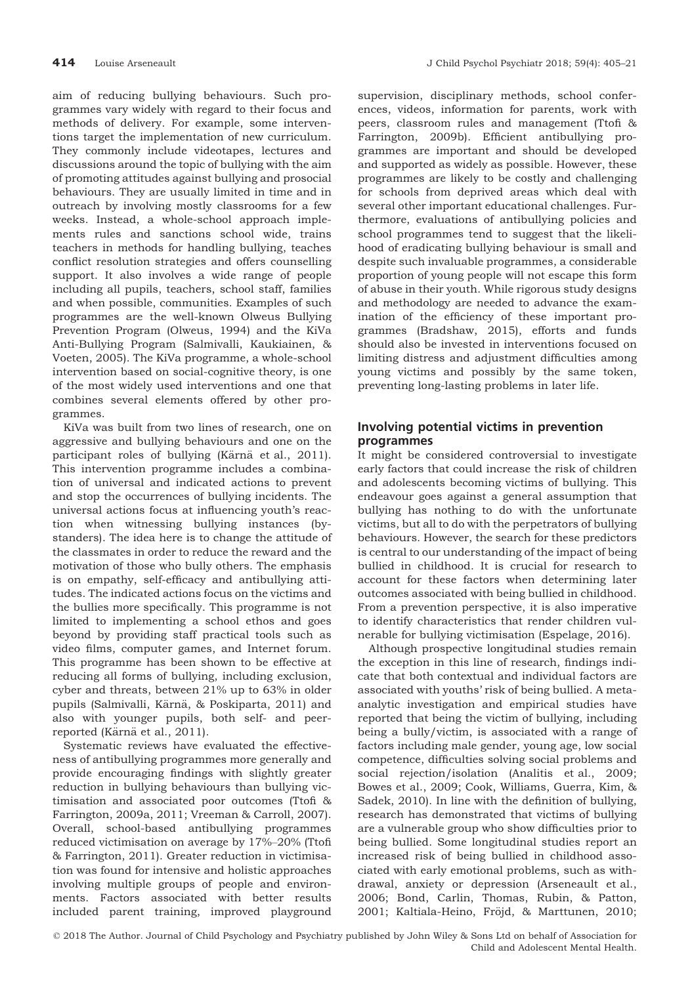aim of reducing bullying behaviours. Such programmes vary widely with regard to their focus and methods of delivery. For example, some interventions target the implementation of new curriculum. They commonly include videotapes, lectures and discussions around the topic of bullying with the aim of promoting attitudes against bullying and prosocial behaviours. They are usually limited in time and in outreach by involving mostly classrooms for a few weeks. Instead, a whole-school approach implements rules and sanctions school wide, trains teachers in methods for handling bullying, teaches conflict resolution strategies and offers counselling support. It also involves a wide range of people including all pupils, teachers, school staff, families and when possible, communities. Examples of such programmes are the well-known Olweus Bullying Prevention Program (Olweus, 1994) and the KiVa Anti-Bullying Program (Salmivalli, Kaukiainen, & Voeten, 2005). The KiVa programme, a whole-school intervention based on social-cognitive theory, is one of the most widely used interventions and one that combines several elements offered by other programmes.

KiVa was built from two lines of research, one on aggressive and bullying behaviours and one on the participant roles of bullying (Kärnä et al., 2011). This intervention programme includes a combination of universal and indicated actions to prevent and stop the occurrences of bullying incidents. The universal actions focus at influencing youth's reaction when witnessing bullying instances (bystanders). The idea here is to change the attitude of the classmates in order to reduce the reward and the motivation of those who bully others. The emphasis is on empathy, self-efficacy and antibullying attitudes. The indicated actions focus on the victims and the bullies more specifically. This programme is not limited to implementing a school ethos and goes beyond by providing staff practical tools such as video films, computer games, and Internet forum. This programme has been shown to be effective at reducing all forms of bullying, including exclusion, cyber and threats, between 21% up to 63% in older pupils (Salmivalli, Kärnä, & Poskiparta, 2011) and also with younger pupils, both self- and peerreported (Kärnä et al., 2011).

Systematic reviews have evaluated the effectiveness of antibullying programmes more generally and provide encouraging findings with slightly greater reduction in bullying behaviours than bullying victimisation and associated poor outcomes (Ttofi & Farrington, 2009a, 2011; Vreeman & Carroll, 2007). Overall, school-based antibullying programmes reduced victimisation on average by 17%–20% (Ttofi & Farrington, 2011). Greater reduction in victimisation was found for intensive and holistic approaches involving multiple groups of people and environments. Factors associated with better results included parent training, improved playground

supervision, disciplinary methods, school conferences, videos, information for parents, work with peers, classroom rules and management (Ttofi & Farrington, 2009b). Efficient antibullying programmes are important and should be developed and supported as widely as possible. However, these programmes are likely to be costly and challenging for schools from deprived areas which deal with several other important educational challenges. Furthermore, evaluations of antibullying policies and school programmes tend to suggest that the likelihood of eradicating bullying behaviour is small and despite such invaluable programmes, a considerable proportion of young people will not escape this form of abuse in their youth. While rigorous study designs and methodology are needed to advance the examination of the efficiency of these important programmes (Bradshaw, 2015), efforts and funds should also be invested in interventions focused on limiting distress and adjustment difficulties among young victims and possibly by the same token, preventing long-lasting problems in later life.

# Involving potential victims in prevention programmes

It might be considered controversial to investigate early factors that could increase the risk of children and adolescents becoming victims of bullying. This endeavour goes against a general assumption that bullying has nothing to do with the unfortunate victims, but all to do with the perpetrators of bullying behaviours. However, the search for these predictors is central to our understanding of the impact of being bullied in childhood. It is crucial for research to account for these factors when determining later outcomes associated with being bullied in childhood. From a prevention perspective, it is also imperative to identify characteristics that render children vulnerable for bullying victimisation (Espelage, 2016).

Although prospective longitudinal studies remain the exception in this line of research, findings indicate that both contextual and individual factors are associated with youths' risk of being bullied. A metaanalytic investigation and empirical studies have reported that being the victim of bullying, including being a bully/victim, is associated with a range of factors including male gender, young age, low social competence, difficulties solving social problems and social rejection/isolation (Analitis et al., 2009; Bowes et al., 2009; Cook, Williams, Guerra, Kim, & Sadek, 2010). In line with the definition of bullying, research has demonstrated that victims of bullying are a vulnerable group who show difficulties prior to being bullied. Some longitudinal studies report an increased risk of being bullied in childhood associated with early emotional problems, such as withdrawal, anxiety or depression (Arseneault et al., 2006; Bond, Carlin, Thomas, Rubin, & Patton, 2001; Kaltiala-Heino, Fröjd, & Marttunen, 2010;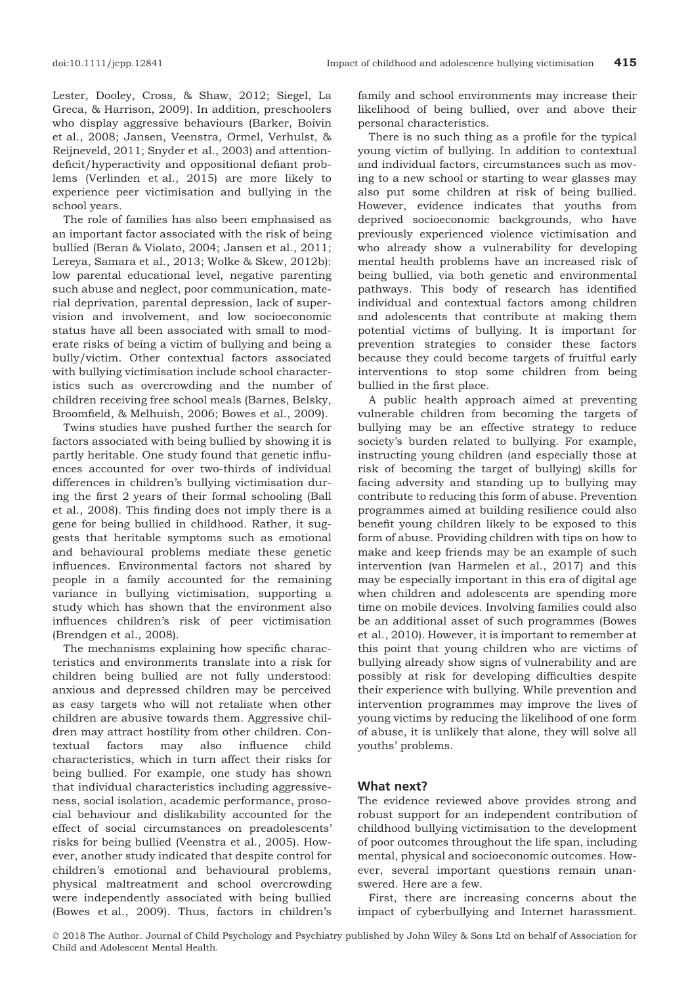Lester, Dooley, Cross, & Shaw, 2012; Siegel, La Greca, & Harrison, 2009). In addition, preschoolers who display aggressive behaviours (Barker, Boivin et al., 2008; Jansen, Veenstra, Ormel, Verhulst, & Reijneveld, 2011; Snyder et al., 2003) and attentiondeficit/hyperactivity and oppositional defiant problems (Verlinden et al., 2015) are more likely to experience peer victimisation and bullying in the school years.

The role of families has also been emphasised as an important factor associated with the risk of being bullied (Beran & Violato, 2004; Jansen et al., 2011; Lereya, Samara et al., 2013; Wolke & Skew, 2012b): low parental educational level, negative parenting such abuse and neglect, poor communication, material deprivation, parental depression, lack of supervision and involvement, and low socioeconomic status have all been associated with small to moderate risks of being a victim of bullying and being a bully/victim. Other contextual factors associated with bullying victimisation include school characteristics such as overcrowding and the number of children receiving free school meals (Barnes, Belsky, Broomfield, & Melhuish, 2006; Bowes et al., 2009).

Twins studies have pushed further the search for factors associated with being bullied by showing it is partly heritable. One study found that genetic influences accounted for over two-thirds of individual differences in children's bullying victimisation during the first 2 years of their formal schooling (Ball et al., 2008). This finding does not imply there is a gene for being bullied in childhood. Rather, it suggests that heritable symptoms such as emotional and behavioural problems mediate these genetic influences. Environmental factors not shared by people in a family accounted for the remaining variance in bullying victimisation, supporting a study which has shown that the environment also influences children's risk of peer victimisation (Brendgen et al., 2008).

The mechanisms explaining how specific characteristics and environments translate into a risk for children being bullied are not fully understood: anxious and depressed children may be perceived as easy targets who will not retaliate when other children are abusive towards them. Aggressive children may attract hostility from other children. Contextual factors may also influence child characteristics, which in turn affect their risks for being bullied. For example, one study has shown that individual characteristics including aggressiveness, social isolation, academic performance, prosocial behaviour and dislikability accounted for the effect of social circumstances on preadolescents' risks for being bullied (Veenstra et al., 2005). However, another study indicated that despite control for children's emotional and behavioural problems, physical maltreatment and school overcrowding were independently associated with being bullied (Bowes et al., 2009). Thus, factors in children's

family and school environments may increase their likelihood of being bullied, over and above their personal characteristics.

There is no such thing as a profile for the typical young victim of bullying. In addition to contextual and individual factors, circumstances such as moving to a new school or starting to wear glasses may also put some children at risk of being bullied. However, evidence indicates that youths from deprived socioeconomic backgrounds, who have previously experienced violence victimisation and who already show a vulnerability for developing mental health problems have an increased risk of being bullied, via both genetic and environmental pathways. This body of research has identified individual and contextual factors among children and adolescents that contribute at making them potential victims of bullying. It is important for prevention strategies to consider these factors because they could become targets of fruitful early interventions to stop some children from being bullied in the first place.

A public health approach aimed at preventing vulnerable children from becoming the targets of bullying may be an effective strategy to reduce society's burden related to bullying. For example, instructing young children (and especially those at risk of becoming the target of bullying) skills for facing adversity and standing up to bullying may contribute to reducing this form of abuse. Prevention programmes aimed at building resilience could also benefit young children likely to be exposed to this form of abuse. Providing children with tips on how to make and keep friends may be an example of such intervention (van Harmelen et al., 2017) and this may be especially important in this era of digital age when children and adolescents are spending more time on mobile devices. Involving families could also be an additional asset of such programmes (Bowes et al., 2010). However, it is important to remember at this point that young children who are victims of bullying already show signs of vulnerability and are possibly at risk for developing difficulties despite their experience with bullying. While prevention and intervention programmes may improve the lives of young victims by reducing the likelihood of one form of abuse, it is unlikely that alone, they will solve all youths' problems.

## What next?

The evidence reviewed above provides strong and robust support for an independent contribution of childhood bullying victimisation to the development of poor outcomes throughout the life span, including mental, physical and socioeconomic outcomes. However, several important questions remain unanswered. Here are a few.

First, there are increasing concerns about the impact of cyberbullying and Internet harassment.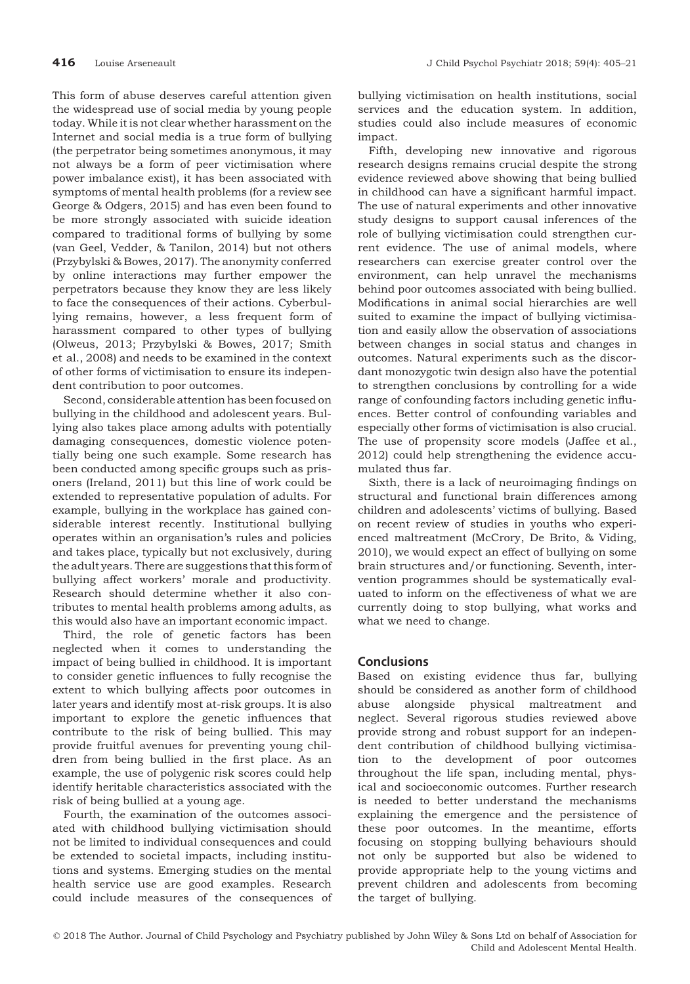This form of abuse deserves careful attention given the widespread use of social media by young people today. While it is not clear whether harassment on the Internet and social media is a true form of bullying (the perpetrator being sometimes anonymous, it may not always be a form of peer victimisation where power imbalance exist), it has been associated with symptoms of mental health problems (for a review see George & Odgers, 2015) and has even been found to be more strongly associated with suicide ideation compared to traditional forms of bullying by some (van Geel, Vedder, & Tanilon, 2014) but not others (Przybylski & Bowes, 2017). The anonymity conferred by online interactions may further empower the perpetrators because they know they are less likely to face the consequences of their actions. Cyberbullying remains, however, a less frequent form of harassment compared to other types of bullying (Olweus, 2013; Przybylski & Bowes, 2017; Smith et al., 2008) and needs to be examined in the context of other forms of victimisation to ensure its independent contribution to poor outcomes.

Second, considerable attention has been focused on bullying in the childhood and adolescent years. Bullying also takes place among adults with potentially damaging consequences, domestic violence potentially being one such example. Some research has been conducted among specific groups such as prisoners (Ireland, 2011) but this line of work could be extended to representative population of adults. For example, bullying in the workplace has gained considerable interest recently. Institutional bullying operates within an organisation's rules and policies and takes place, typically but not exclusively, during the adult years. There are suggestions that this form of bullying affect workers' morale and productivity. Research should determine whether it also contributes to mental health problems among adults, as this would also have an important economic impact.

Third, the role of genetic factors has been neglected when it comes to understanding the impact of being bullied in childhood. It is important to consider genetic influences to fully recognise the extent to which bullying affects poor outcomes in later years and identify most at-risk groups. It is also important to explore the genetic influences that contribute to the risk of being bullied. This may provide fruitful avenues for preventing young children from being bullied in the first place. As an example, the use of polygenic risk scores could help identify heritable characteristics associated with the risk of being bullied at a young age.

Fourth, the examination of the outcomes associated with childhood bullying victimisation should not be limited to individual consequences and could be extended to societal impacts, including institutions and systems. Emerging studies on the mental health service use are good examples. Research could include measures of the consequences of bullying victimisation on health institutions, social services and the education system. In addition, studies could also include measures of economic impact.

Fifth, developing new innovative and rigorous research designs remains crucial despite the strong evidence reviewed above showing that being bullied in childhood can have a significant harmful impact. The use of natural experiments and other innovative study designs to support causal inferences of the role of bullying victimisation could strengthen current evidence. The use of animal models, where researchers can exercise greater control over the environment, can help unravel the mechanisms behind poor outcomes associated with being bullied. Modifications in animal social hierarchies are well suited to examine the impact of bullying victimisation and easily allow the observation of associations between changes in social status and changes in outcomes. Natural experiments such as the discordant monozygotic twin design also have the potential to strengthen conclusions by controlling for a wide range of confounding factors including genetic influences. Better control of confounding variables and especially other forms of victimisation is also crucial. The use of propensity score models (Jaffee et al., 2012) could help strengthening the evidence accumulated thus far.

Sixth, there is a lack of neuroimaging findings on structural and functional brain differences among children and adolescents' victims of bullying. Based on recent review of studies in youths who experienced maltreatment (McCrory, De Brito, & Viding, 2010), we would expect an effect of bullying on some brain structures and/or functioning. Seventh, intervention programmes should be systematically evaluated to inform on the effectiveness of what we are currently doing to stop bullying, what works and what we need to change.

## **Conclusions**

Based on existing evidence thus far, bullying should be considered as another form of childhood abuse alongside physical maltreatment and neglect. Several rigorous studies reviewed above provide strong and robust support for an independent contribution of childhood bullying victimisation to the development of poor outcomes throughout the life span, including mental, physical and socioeconomic outcomes. Further research is needed to better understand the mechanisms explaining the emergence and the persistence of these poor outcomes. In the meantime, efforts focusing on stopping bullying behaviours should not only be supported but also be widened to provide appropriate help to the young victims and prevent children and adolescents from becoming the target of bullying.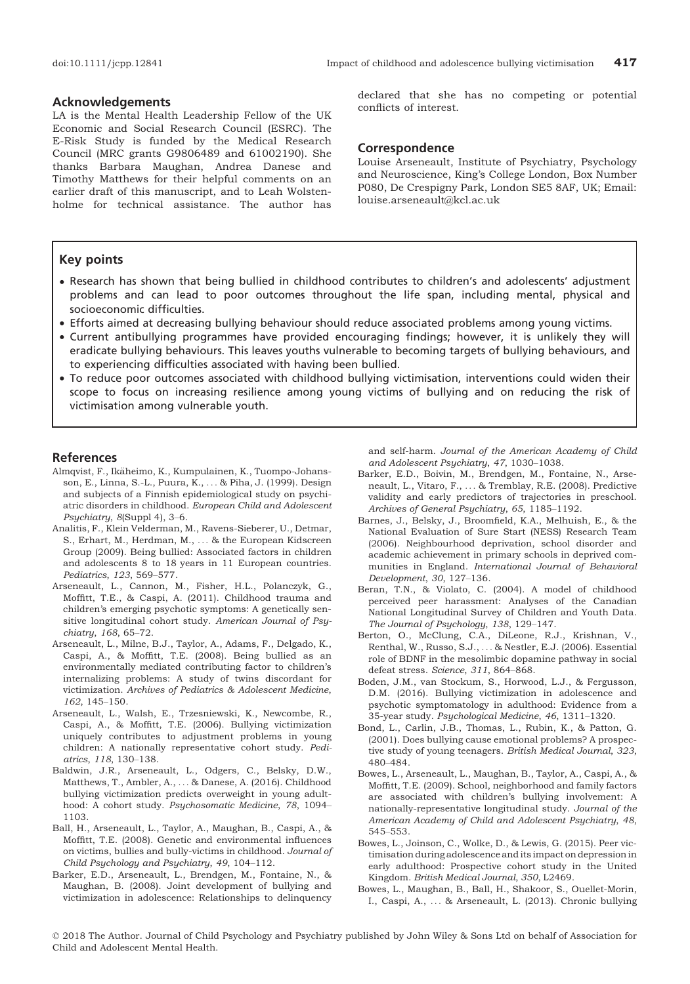#### Acknowledgements

LA is the Mental Health Leadership Fellow of the UK Economic and Social Research Council (ESRC). The E-Risk Study is funded by the Medical Research Council (MRC grants G9806489 and 61002190). She thanks Barbara Maughan, Andrea Danese and Timothy Matthews for their helpful comments on an earlier draft of this manuscript, and to Leah Wolstenholme for technical assistance. The author has declared that she has no competing or potential conflicts of interest.

#### Correspondence

Louise Arseneault, Institute of Psychiatry, Psychology and Neuroscience, King's College London, Box Number P080, De Crespigny Park, London SE5 8AF, UK; Email: louise.arseneault@kcl.ac.uk

# Key points

- Research has shown that being bullied in childhood contributes to children's and adolescents' adjustment problems and can lead to poor outcomes throughout the life span, including mental, physical and socioeconomic difficulties.
- Efforts aimed at decreasing bullying behaviour should reduce associated problems among young victims.
- Current antibullying programmes have provided encouraging findings; however, it is unlikely they will eradicate bullying behaviours. This leaves youths vulnerable to becoming targets of bullying behaviours, and to experiencing difficulties associated with having been bullied.
- To reduce poor outcomes associated with childhood bullying victimisation, interventions could widen their scope to focus on increasing resilience among young victims of bullying and on reducing the risk of victimisation among vulnerable youth.

## References

- Almqvist, F., Ikaheimo, K., Kumpulainen, K., Tuompo-Johans- € son, E., Linna, S.-L., Puura, K., ... & Piha, J. (1999). Design and subjects of a Finnish epidemiological study on psychiatric disorders in childhood. European Child and Adolescent Psychiatry, 8(Suppl 4), 3–6.
- Analitis, F., Klein Velderman, M., Ravens-Sieberer, U., Detmar, S., Erhart, M., Herdman, M., ... & the European Kidscreen Group (2009). Being bullied: Associated factors in children and adolescents 8 to 18 years in 11 European countries. Pediatrics, 123, 569–577.
- Arseneault, L., Cannon, M., Fisher, H.L., Polanczyk, G., Moffitt, T.E., & Caspi, A. (2011). Childhood trauma and children's emerging psychotic symptoms: A genetically sensitive longitudinal cohort study. American Journal of Psychiatry, 168, 65–72.
- Arseneault, L., Milne, B.J., Taylor, A., Adams, F., Delgado, K., Caspi, A., & Moffitt, T.E. (2008). Being bullied as an environmentally mediated contributing factor to children's internalizing problems: A study of twins discordant for victimization. Archives of Pediatrics & Adolescent Medicine, 162, 145–150.
- Arseneault, L., Walsh, E., Trzesniewski, K., Newcombe, R., Caspi, A., & Moffitt, T.E. (2006). Bullying victimization uniquely contributes to adjustment problems in young children: A nationally representative cohort study. Pediatrics, 118, 130–138.
- Baldwin, J.R., Arseneault, L., Odgers, C., Belsky, D.W., Matthews, T., Ambler, A., ... & Danese, A. (2016). Childhood bullying victimization predicts overweight in young adulthood: A cohort study. Psychosomatic Medicine, 78, 1094– 1103.
- Ball, H., Arseneault, L., Taylor, A., Maughan, B., Caspi, A., & Moffitt, T.E. (2008). Genetic and environmental influences on victims, bullies and bully-victims in childhood. Journal of Child Psychology and Psychiatry, 49, 104–112.
- Barker, E.D., Arseneault, L., Brendgen, M., Fontaine, N., & Maughan, B. (2008). Joint development of bullying and victimization in adolescence: Relationships to delinquency

and self-harm. Journal of the American Academy of Child and Adolescent Psychiatry, 47, 1030–1038.

- Barker, E.D., Boivin, M., Brendgen, M., Fontaine, N., Arseneault, L., Vitaro, F., ... & Tremblay, R.E. (2008). Predictive validity and early predictors of trajectories in preschool. Archives of General Psychiatry, 65, 1185–1192.
- Barnes, J., Belsky, J., Broomfield, K.A., Melhuish, E., & the National Evaluation of Sure Start (NESS) Research Team (2006). Neighbourhood deprivation, school disorder and academic achievement in primary schools in deprived communities in England. International Journal of Behavioral Development, 30, 127–136.
- Beran, T.N., & Violato, C. (2004). A model of childhood perceived peer harassment: Analyses of the Canadian National Longitudinal Survey of Children and Youth Data. The Journal of Psychology, 138, 129–147.
- Berton, O., McClung, C.A., DiLeone, R.J., Krishnan, V., Renthal, W., Russo, S.J., ... & Nestler, E.J. (2006). Essential role of BDNF in the mesolimbic dopamine pathway in social defeat stress. Science, 311, 864–868.
- Boden, J.M., van Stockum, S., Horwood, L.J., & Fergusson, D.M. (2016). Bullying victimization in adolescence and psychotic symptomatology in adulthood: Evidence from a 35-year study. Psychological Medicine, 46, 1311–1320.
- Bond, L., Carlin, J.B., Thomas, L., Rubin, K., & Patton, G. (2001). Does bullying cause emotional problems? A prospective study of young teenagers. British Medical Journal, 323, 480–484.
- Bowes, L., Arseneault, L., Maughan, B., Taylor, A., Caspi, A., & Moffitt, T.E. (2009). School, neighborhood and family factors are associated with children's bullying involvement: A nationally-representative longitudinal study. Journal of the American Academy of Child and Adolescent Psychiatry, 48, 545–553.
- Bowes, L., Joinson, C., Wolke, D., & Lewis, G. (2015). Peer victimisation during adolescence and its impact on depression in early adulthood: Prospective cohort study in the United Kingdom. British Medical Journal, 350, L2469.
- Bowes, L., Maughan, B., Ball, H., Shakoor, S., Ouellet-Morin, I., Caspi, A., ... & Arseneault, L. (2013). Chronic bullying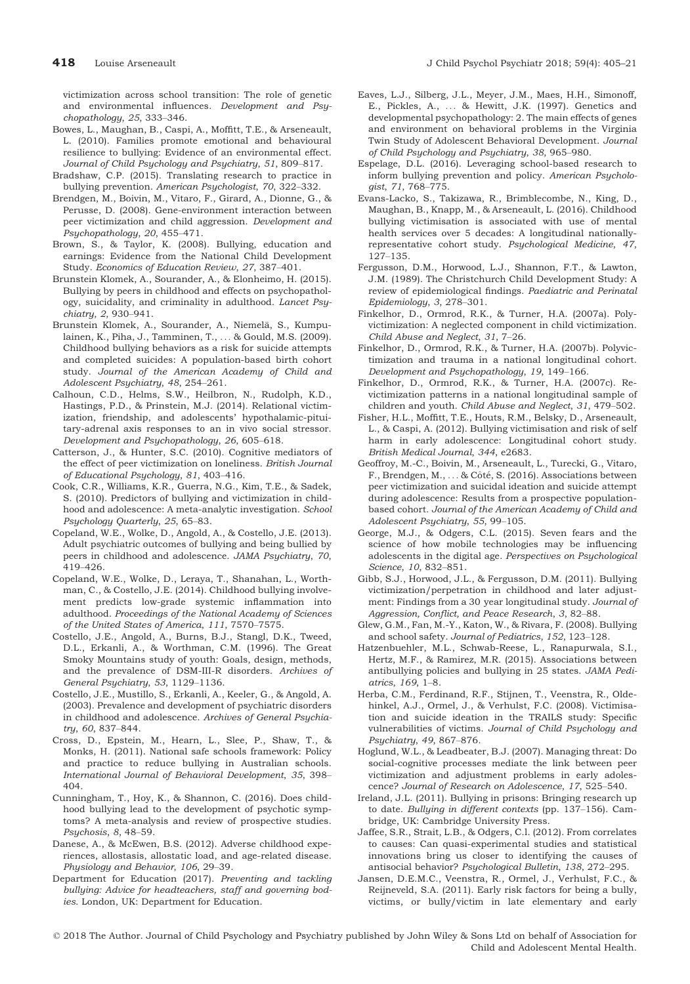victimization across school transition: The role of genetic and environmental influences. Development and Psychopathology, 25, 333–346.

- Bowes, L., Maughan, B., Caspi, A., Moffitt, T.E., & Arseneault, L. (2010). Families promote emotional and behavioural resilience to bullying: Evidence of an environmental effect. Journal of Child Psychology and Psychiatry, 51, 809–817.
- Bradshaw, C.P. (2015). Translating research to practice in bullying prevention. American Psychologist, 70, 322–332.
- Brendgen, M., Boivin, M., Vitaro, F., Girard, A., Dionne, G., & Perusse, D. (2008). Gene-environment interaction between peer victimization and child aggression. Development and Psychopathology, 20, 455–471.
- Brown, S., & Taylor, K. (2008). Bullying, education and earnings: Evidence from the National Child Development Study. Economics of Education Review, 27, 387–401.
- Brunstein Klomek, A., Sourander, A., & Elonheimo, H. (2015). Bullying by peers in childhood and effects on psychopathology, suicidality, and criminality in adulthood. Lancet Psychiatry, 2, 930–941.
- Brunstein Klomek, A., Sourander, A., Niemelä, S., Kumpulainen, K., Piha, J., Tamminen, T., ... & Gould, M.S. (2009). Childhood bullying behaviors as a risk for suicide attempts and completed suicides: A population-based birth cohort study. Journal of the American Academy of Child and Adolescent Psychiatry, 48, 254–261.
- Calhoun, C.D., Helms, S.W., Heilbron, N., Rudolph, K.D., Hastings, P.D., & Prinstein, M.J. (2014). Relational victimization, friendship, and adolescents' hypothalamic-pituitary-adrenal axis responses to an in vivo social stressor. Development and Psychopathology, 26, 605–618.
- Catterson, J., & Hunter, S.C. (2010). Cognitive mediators of the effect of peer victimization on loneliness. British Journal of Educational Psychology, 81, 403–416.
- Cook, C.R., Williams, K.R., Guerra, N.G., Kim, T.E., & Sadek, S. (2010). Predictors of bullying and victimization in childhood and adolescence: A meta-analytic investigation. School Psychology Quarterly, 25, 65–83.
- Copeland, W.E., Wolke, D., Angold, A., & Costello, J.E. (2013). Adult psychiatric outcomes of bullying and being bullied by peers in childhood and adolescence. JAMA Psychiatry, 70, 419–426.
- Copeland, W.E., Wolke, D., Leraya, T., Shanahan, L., Worthman, C., & Costello, J.E. (2014). Childhood bullying involvement predicts low-grade systemic inflammation into adulthood. Proceedings of the National Academy of Sciences of the United States of America, 111, 7570–7575.
- Costello, J.E., Angold, A., Burns, B.J., Stangl, D.K., Tweed, D.L., Erkanli, A., & Worthman, C.M. (1996). The Great Smoky Mountains study of youth: Goals, design, methods, and the prevalence of DSM-III-R disorders. Archives of General Psychiatry, 53, 1129–1136.
- Costello, J.E., Mustillo, S., Erkanli, A., Keeler, G., & Angold, A. (2003). Prevalence and development of psychiatric disorders in childhood and adolescence. Archives of General Psychiatry, 60, 837–844.
- Cross, D., Epstein, M., Hearn, L., Slee, P., Shaw, T., & Monks, H. (2011). National safe schools framework: Policy and practice to reduce bullying in Australian schools. International Journal of Behavioral Development, 35, 398– 404.
- Cunningham, T., Hoy, K., & Shannon, C. (2016). Does childhood bullying lead to the development of psychotic symptoms? A meta-analysis and review of prospective studies. Psychosis, 8, 48–59.
- Danese, A., & McEwen, B.S. (2012). Adverse childhood experiences, allostasis, allostatic load, and age-related disease. Physiology and Behavior, 106, 29–39.
- Department for Education (2017). Preventing and tackling bullying: Advice for headteachers, staff and governing bodies. London, UK: Department for Education.
- Eaves, L.J., Silberg, J.L., Meyer, J.M., Maes, H.H., Simonoff, E., Pickles, A., ... & Hewitt, J.K. (1997). Genetics and developmental psychopathology: 2. The main effects of genes and environment on behavioral problems in the Virginia Twin Study of Adolescent Behavioral Development. Journal of Child Psychology and Psychiatry, 38, 965–980.
- Espelage, D.L. (2016). Leveraging school-based research to inform bullying prevention and policy. American Psychologist, 71, 768–775.
- Evans-Lacko, S., Takizawa, R., Brimblecombe, N., King, D., Maughan, B., Knapp, M., & Arseneault, L. (2016). Childhood bullying victimisation is associated with use of mental health services over 5 decades: A longitudinal nationallyrepresentative cohort study. Psychological Medicine, 47, 127–135.
- Fergusson, D.M., Horwood, L.J., Shannon, F.T., & Lawton, J.M. (1989). The Christchurch Child Development Study: A review of epidemiological findings. Paediatric and Perinatal Epidemiology, 3, 278–301.
- Finkelhor, D., Ormrod, R.K., & Turner, H.A. (2007a). Polyvictimization: A neglected component in child victimization. Child Abuse and Neglect, 31, 7–26.
- Finkelhor, D., Ormrod, R.K., & Turner, H.A. (2007b). Polyvictimization and trauma in a national longitudinal cohort. Development and Psychopathology, 19, 149–166.
- Finkelhor, D., Ormrod, R.K., & Turner, H.A. (2007c). Revictimization patterns in a national longitudinal sample of children and youth. Child Abuse and Neglect, 31, 479–502.
- Fisher, H.L., Moffitt, T.E., Houts, R.M., Belsky, D., Arseneault, L., & Caspi, A. (2012). Bullying victimisation and risk of self harm in early adolescence: Longitudinal cohort study. British Medical Journal, 344, e2683.
- Geoffroy, M.-C., Boivin, M., Arseneault, L., Turecki, G., Vitaro, F., Brendgen, M., ... & Côté, S. (2016). Associations between peer victimization and suicidal ideation and suicide attempt during adolescence: Results from a prospective populationbased cohort. Journal of the American Academy of Child and Adolescent Psychiatry, 55, 99–105.
- George, M.J., & Odgers, C.L. (2015). Seven fears and the science of how mobile technologies may be influencing adolescents in the digital age. Perspectives on Psychological Science, 10, 832–851.
- Gibb, S.J., Horwood, J.L., & Fergusson, D.M. (2011). Bullying victimization/perpetration in childhood and later adjustment: Findings from a 30 year longitudinal study. Journal of Aggression, Conflict, and Peace Research, 3, 82–88.
- Glew, G.M., Fan, M.-Y., Katon, W., & Rivara, F. (2008). Bullying and school safety. Journal of Pediatrics, 152, 123–128.
- Hatzenbuehler, M.L., Schwab-Reese, L., Ranapurwala, S.I., Hertz, M.F., & Ramirez, M.R. (2015). Associations between antibullying policies and bullying in 25 states. JAMA Pediatrics, 169, 1–8.
- Herba, C.M., Ferdinand, R.F., Stijnen, T., Veenstra, R., Oldehinkel, A.J., Ormel, J., & Verhulst, F.C. (2008). Victimisation and suicide ideation in the TRAILS study: Specific vulnerabilities of victims. Journal of Child Psychology and Psychiatry, 49, 867–876.
- Hoglund, W.L., & Leadbeater, B.J. (2007). Managing threat: Do social-cognitive processes mediate the link between peer victimization and adjustment problems in early adolescence? Journal of Research on Adolescence, 17, 525–540.
- Ireland, J.L. (2011). Bullying in prisons: Bringing research up to date. Bullying in different contexts (pp. 137–156). Cambridge, UK: Cambridge University Press.
- Jaffee, S.R., Strait, L.B., & Odgers, C.l. (2012). From correlates to causes: Can quasi-experimental studies and statistical innovations bring us closer to identifying the causes of antisocial behavior? Psychological Bulletin, 138, 272–295.
- Jansen, D.E.M.C., Veenstra, R., Ormel, J., Verhulst, F.C., & Reijneveld, S.A. (2011). Early risk factors for being a bully, victims, or bully/victim in late elementary and early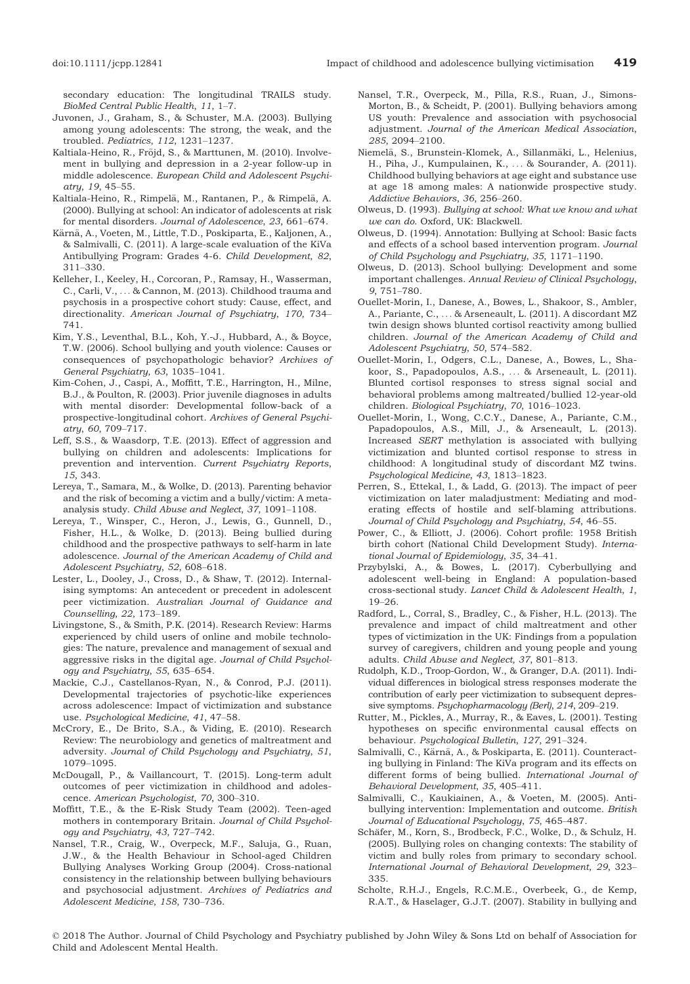secondary education: The longitudinal TRAILS study. BioMed Central Public Health, 11, 1–7.

- Juvonen, J., Graham, S., & Schuster, M.A. (2003). Bullying among young adolescents: The strong, the weak, and the troubled. Pediatrics, 112, 1231–1237.
- Kaltiala-Heino, R., Fröjd, S., & Marttunen, M. (2010). Involvement in bullying and depression in a 2-year follow-up in middle adolescence. European Child and Adolescent Psychiatry, 19, 45–55.
- Kaltiala-Heino, R., Rimpelä, M., Rantanen, P., & Rimpelä, A. (2000). Bullying at school: An indicator of adolescents at risk for mental disorders. Journal of Adolescence, 23, 661–674.
- Kärnä, A., Voeten, M., Little, T.D., Poskiparta, E., Kaljonen, A., & Salmivalli, C. (2011). A large-scale evaluation of the KiVa Antibullying Program: Grades 4-6. Child Development, 82, 311–330.
- Kelleher, I., Keeley, H., Corcoran, P., Ramsay, H., Wasserman, C., Carli, V., ... & Cannon, M. (2013). Childhood trauma and psychosis in a prospective cohort study: Cause, effect, and directionality. American Journal of Psychiatry, 170, 734– 741.
- Kim, Y.S., Leventhal, B.L., Koh, Y.-J., Hubbard, A., & Boyce, T.W. (2006). School bullying and youth violence: Causes or consequences of psychopathologic behavior? Archives of General Psychiatry, 63, 1035–1041.
- Kim-Cohen, J., Caspi, A., Moffitt, T.E., Harrington, H., Milne, B.J., & Poulton, R. (2003). Prior juvenile diagnoses in adults with mental disorder: Developmental follow-back of a prospective-longitudinal cohort. Archives of General Psychiatry, 60, 709–717.
- Leff, S.S., & Waasdorp, T.E. (2013). Effect of aggression and bullying on children and adolescents: Implications for prevention and intervention. Current Psychiatry Reports, 15, 343.
- Lereya, T., Samara, M., & Wolke, D. (2013). Parenting behavior and the risk of becoming a victim and a bully/victim: A metaanalysis study. Child Abuse and Neglect, 37, 1091–1108.
- Lereya, T., Winsper, C., Heron, J., Lewis, G., Gunnell, D., Fisher, H.L., & Wolke, D. (2013). Being bullied during childhood and the prospective pathways to self-harm in late adolescence. Journal of the American Academy of Child and Adolescent Psychiatry, 52, 608–618.
- Lester, L., Dooley, J., Cross, D., & Shaw, T. (2012). Internalising symptoms: An antecedent or precedent in adolescent peer victimization. Australian Journal of Guidance and Counselling, 22, 173–189.
- Livingstone, S., & Smith, P.K. (2014). Research Review: Harms experienced by child users of online and mobile technologies: The nature, prevalence and management of sexual and aggressive risks in the digital age. Journal of Child Psychology and Psychiatry, 55, 635–654.
- Mackie, C.J., Castellanos-Ryan, N., & Conrod, P.J. (2011). Developmental trajectories of psychotic-like experiences across adolescence: Impact of victimization and substance use. Psychological Medicine, 41, 47–58.
- McCrory, E., De Brito, S.A., & Viding, E. (2010). Research Review: The neurobiology and genetics of maltreatment and adversity. Journal of Child Psychology and Psychiatry, 51, 1079–1095.
- McDougall, P., & Vaillancourt, T. (2015). Long-term adult outcomes of peer victimization in childhood and adolescence. American Psychologist, 70, 300–310.
- Moffitt, T.E., & the E-Risk Study Team (2002). Teen-aged mothers in contemporary Britain. Journal of Child Psychology and Psychiatry, 43, 727–742.
- Nansel, T.R., Craig, W., Overpeck, M.F., Saluja, G., Ruan, J.W., & the Health Behaviour in School-aged Children Bullying Analyses Working Group (2004). Cross-national consistency in the relationship between bullying behaviours and psychosocial adjustment. Archives of Pediatrics and Adolescent Medicine, 158, 730–736.
- Nansel, T.R., Overpeck, M., Pilla, R.S., Ruan, J., Simons-Morton, B., & Scheidt, P. (2001). Bullying behaviors among US youth: Prevalence and association with psychosocial adjustment. Journal of the American Medical Association, 285, 2094–2100.
- Niemelä, S., Brunstein-Klomek, A., Sillanmäki, L., Helenius, H., Piha, J., Kumpulainen, K., ... & Sourander, A. (2011). Childhood bullying behaviors at age eight and substance use at age 18 among males: A nationwide prospective study. Addictive Behaviors, 36, 256–260.
- Olweus, D. (1993). Bullying at school: What we know and what we can do. Oxford, UK: Blackwell.
- Olweus, D. (1994). Annotation: Bullying at School: Basic facts and effects of a school based intervention program. Journal of Child Psychology and Psychiatry, 35, 1171–1190.
- Olweus, D. (2013). School bullying: Development and some important challenges. Annual Review of Clinical Psychology, 9, 751–780.
- Ouellet-Morin, I., Danese, A., Bowes, L., Shakoor, S., Ambler, A., Pariante, C., ... & Arseneault, L. (2011). A discordant MZ twin design shows blunted cortisol reactivity among bullied children. Journal of the American Academy of Child and Adolescent Psychiatry, 50, 574–582.
- Ouellet-Morin, I., Odgers, C.L., Danese, A., Bowes, L., Shakoor, S., Papadopoulos, A.S., ... & Arseneault, L. (2011). Blunted cortisol responses to stress signal social and behavioral problems among maltreated/bullied 12-year-old children. Biological Psychiatry, 70, 1016–1023.
- Ouellet-Morin, I., Wong, C.C.Y., Danese, A., Pariante, C.M., Papadopoulos, A.S., Mill, J., & Arseneault, L. (2013). Increased SERT methylation is associated with bullying victimization and blunted cortisol response to stress in childhood: A longitudinal study of discordant MZ twins. Psychological Medicine, 43, 1813–1823.
- Perren, S., Ettekal, I., & Ladd, G. (2013). The impact of peer victimization on later maladjustment: Mediating and moderating effects of hostile and self-blaming attributions. Journal of Child Psychology and Psychiatry, 54, 46–55.
- Power, C., & Elliott, J. (2006). Cohort profile: 1958 British birth cohort (National Child Development Study). International Journal of Epidemiology, 35, 34–41.
- Przybylski, A., & Bowes, L. (2017). Cyberbullying and adolescent well-being in England: A population-based cross-sectional study. Lancet Child & Adolescent Health, 1, 19–26.
- Radford, L., Corral, S., Bradley, C., & Fisher, H.L. (2013). The prevalence and impact of child maltreatment and other types of victimization in the UK: Findings from a population survey of caregivers, children and young people and young adults. Child Abuse and Neglect, 37, 801–813.
- Rudolph, K.D., Troop-Gordon, W., & Granger, D.A. (2011). Individual differences in biological stress responses moderate the contribution of early peer victimization to subsequent depressive symptoms. Psychopharmacology (Berl), 214, 209–219.
- Rutter, M., Pickles, A., Murray, R., & Eaves, L. (2001). Testing hypotheses on specific environmental causal effects on behaviour. Psychological Bulletin, 127, 291–324.
- Salmivalli, C., Kärnä, A., & Poskiparta, E. (2011). Counteracting bullying in Finland: The KiVa program and its effects on different forms of being bullied. International Journal of Behavioral Development, 35, 405–411.
- Salmivalli, C., Kaukiainen, A., & Voeten, M. (2005). Antibullying intervention: Implementation and outcome. British Journal of Educational Psychology, 75, 465–487.
- Schäfer, M., Korn, S., Brodbeck, F.C., Wolke, D., & Schulz, H. (2005). Bullying roles on changing contexts: The stability of victim and bully roles from primary to secondary school. International Journal of Behavioral Development, 29, 323– 335.
- Scholte, R.H.J., Engels, R.C.M.E., Overbeek, G., de Kemp, R.A.T., & Haselager, G.J.T. (2007). Stability in bullying and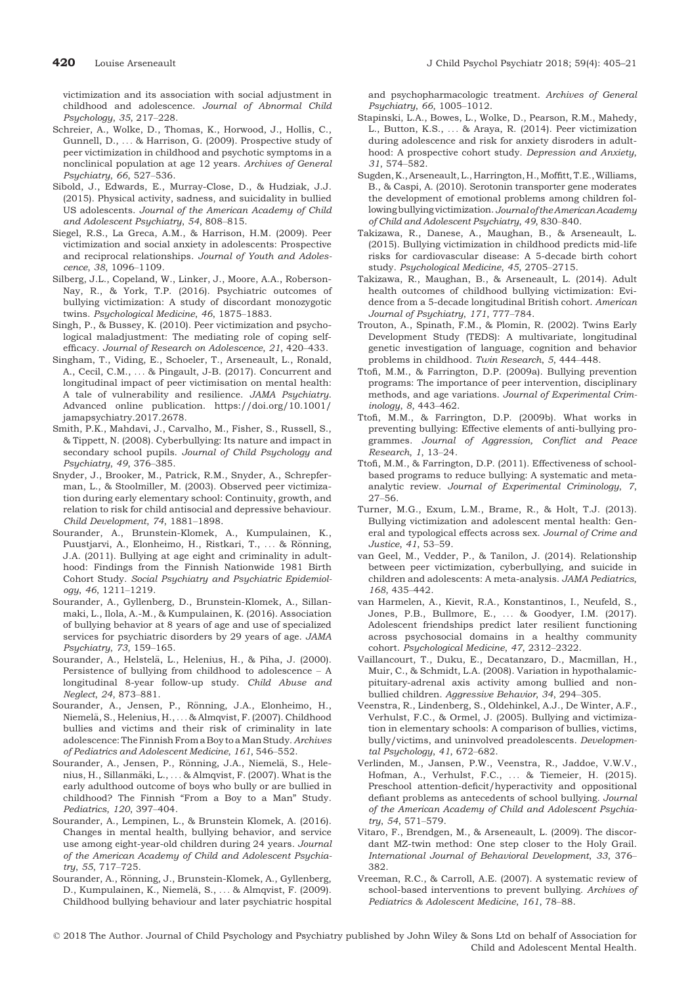victimization and its association with social adjustment in childhood and adolescence. Journal of Abnormal Child Psychology, 35, 217–228.

- Schreier, A., Wolke, D., Thomas, K., Horwood, J., Hollis, C., Gunnell, D., ... & Harrison, G. (2009). Prospective study of peer victimization in childhood and psychotic symptoms in a nonclinical population at age 12 years. Archives of General Psychiatry, 66, 527–536.
- Sibold, J., Edwards, E., Murray-Close, D., & Hudziak, J.J. (2015). Physical activity, sadness, and suicidality in bullied US adolescents. Journal of the American Academy of Child and Adolescent Psychiatry, 54, 808–815.
- Siegel, R.S., La Greca, A.M., & Harrison, H.M. (2009). Peer victimization and social anxiety in adolescents: Prospective and reciprocal relationships. Journal of Youth and Adolescence, 38, 1096–1109.
- Silberg, J.L., Copeland, W., Linker, J., Moore, A.A., Roberson-Nay, R., & York, T.P. (2016). Psychiatric outcomes of bullying victimization: A study of discordant monozygotic twins. Psychological Medicine, 46, 1875–1883.
- Singh, P., & Bussey, K. (2010). Peer victimization and psychological maladjustment: The mediating role of coping selfefficacy. Journal of Research on Adolescence, 21, 420–433.
- Singham, T., Viding, E., Schoeler, T., Arseneault, L., Ronald, A., Cecil, C.M., ... & Pingault, J-B. (2017). Concurrent and longitudinal impact of peer victimisation on mental health: A tale of vulnerability and resilience. JAMA Psychiatry. Advanced online publication. [https://doi.org/10.1001/](https://doi.org/10.1001/jamapsychiatry.2017.2678) [jamapsychiatry.2017.2678](https://doi.org/10.1001/jamapsychiatry.2017.2678).
- Smith, P.K., Mahdavi, J., Carvalho, M., Fisher, S., Russell, S., & Tippett, N. (2008). Cyberbullying: Its nature and impact in secondary school pupils. Journal of Child Psychology and Psychiatry, 49, 376–385.
- Snyder, J., Brooker, M., Patrick, R.M., Snyder, A., Schrepferman, L., & Stoolmiller, M. (2003). Observed peer victimization during early elementary school: Continuity, growth, and relation to risk for child antisocial and depressive behaviour. Child Development, 74, 1881–1898.
- Sourander, A., Brunstein-Klomek, A., Kumpulainen, K., Puustjarvi, A., Elonheimo, H., Ristkari, T., ... & Rönning, J.A. (2011). Bullying at age eight and criminality in adulthood: Findings from the Finnish Nationwide 1981 Birth Cohort Study. Social Psychiatry and Psychiatric Epidemiology, 46, 1211–1219.
- Sourander, A., Gyllenberg, D., Brunstein-Klomek, A., Sillanmaki, L., Ilola, A.-M., & Kumpulainen, K. (2016). Association of bullying behavior at 8 years of age and use of specialized services for psychiatric disorders by 29 years of age. JAMA Psychiatry, 73, 159–165.
- Sourander, A., Helstelä, L., Helenius, H., & Piha, J. (2000). Persistence of bullying from childhood to adolescence – A longitudinal 8-year follow-up study. Child Abuse and Neglect, 24, 873–881.
- Sourander, A., Jensen, P., Rönning, J.A., Elonheimo, H., Niemelä, S., Helenius, H., ... & Almqvist, F. (2007). Childhood bullies and victims and their risk of criminality in late adolescence: The Finnish From a Boy to a Man Study. Archives of Pediatrics and Adolescent Medicine, 161, 546–552.
- Sourander, A., Jensen, P., Rönning, J.A., Niemelä, S., Helenius, H., Sillanmäki, L., ... & Almqvist, F. (2007). What is the early adulthood outcome of boys who bully or are bullied in childhood? The Finnish "From a Boy to a Man" Study. Pediatrics, 120, 397–404.
- Sourander, A., Lempinen, L., & Brunstein Klomek, A. (2016). Changes in mental health, bullying behavior, and service use among eight-year-old children during 24 years. Journal of the American Academy of Child and Adolescent Psychiatry, 55, 717–725.
- Sourander, A., Rönning, J., Brunstein-Klomek, A., Gyllenberg, D., Kumpulainen, K., Niemelä, S., ... & Almqvist, F. (2009). Childhood bullying behaviour and later psychiatric hospital

and psychopharmacologic treatment. Archives of General Psychiatry, 66, 1005–1012.

- Stapinski, L.A., Bowes, L., Wolke, D., Pearson, R.M., Mahedy, L., Button, K.S., ... & Araya, R. (2014). Peer victimization during adolescence and risk for anxiety disroders in adulthood: A prospective cohort study. Depression and Anxiety, 31, 574–582.
- Sugden, K., Arseneault, L., Harrington,H.,Moffitt, T.E.,Williams, B., & Caspi, A. (2010). Serotonin transporter gene moderates the development of emotional problems among children following bullying victimization. Journal of the American Academy of Child and Adolescent Psychiatry, 49, 830–840.
- Takizawa, R., Danese, A., Maughan, B., & Arseneault, L. (2015). Bullying victimization in childhood predicts mid-life risks for cardiovascular disease: A 5-decade birth cohort study. Psychological Medicine, 45, 2705–2715.
- Takizawa, R., Maughan, B., & Arseneault, L. (2014). Adult health outcomes of childhood bullying victimization: Evidence from a 5-decade longitudinal British cohort. American Journal of Psychiatry, 171, 777–784.
- Trouton, A., Spinath, F.M., & Plomin, R. (2002). Twins Early Development Study (TEDS): A multivariate, longitudinal genetic investigation of language, cognition and behavior problems in childhood. Twin Research, 5, 444–448.
- Ttofi, M.M., & Farrington, D.P. (2009a). Bullying prevention programs: The importance of peer intervention, disciplinary methods, and age variations. Journal of Experimental Criminology, 8, 443–462.
- Ttofi, M.M., & Farrington, D.P. (2009b). What works in preventing bullying: Effective elements of anti-bullying programmes. Journal of Aggression, Conflict and Peace Research, 1, 13–24.
- Ttofi, M.M., & Farrington, D.P. (2011). Effectiveness of schoolbased programs to reduce bullying: A systematic and metaanalytic review. Journal of Experimental Criminology, 7, 27–56.
- Turner, M.G., Exum, L.M., Brame, R., & Holt, T.J. (2013). Bullying victimization and adolescent mental health: General and typological effects across sex. Journal of Crime and Justice, 41, 53–59.
- van Geel, M., Vedder, P., & Tanilon, J. (2014). Relationship between peer victimization, cyberbullying, and suicide in children and adolescents: A meta-analysis. JAMA Pediatrics, 168, 435–442.
- van Harmelen, A., Kievit, R.A., Konstantinos, I., Neufeld, S., Jones, P.B., Bullmore, E., ... & Goodyer, I.M. (2017). Adolescent friendships predict later resilient functioning across psychosocial domains in a healthy community cohort. Psychological Medicine, 47, 2312–2322.
- Vaillancourt, T., Duku, E., Decatanzaro, D., Macmillan, H., Muir, C., & Schmidt, L.A. (2008). Variation in hypothalamicpituitary-adrenal axis activity among bullied and nonbullied children. Aggressive Behavior, 34, 294–305.
- Veenstra, R., Lindenberg, S., Oldehinkel, A.J., De Winter, A.F., Verhulst, F.C., & Ormel, J. (2005). Bullying and victimization in elementary schools: A comparison of bullies, victims, bully/victims, and uninvolved preadolescents. Developmental Psychology, 41, 672–682.
- Verlinden, M., Jansen, P.W., Veenstra, R., Jaddoe, V.W.V., Hofman, A., Verhulst, F.C., ... & Tiemeier, H. (2015). Preschool attention-deficit/hyperactivity and oppositional defiant problems as antecedents of school bullying. Journal of the American Academy of Child and Adolescent Psychiatry, 54, 571–579.
- Vitaro, F., Brendgen, M., & Arseneault, L. (2009). The discordant MZ-twin method: One step closer to the Holy Grail. International Journal of Behavioral Development, 33, 376– 382.
- Vreeman, R.C., & Carroll, A.E. (2007). A systematic review of school-based interventions to prevent bullying. Archives of Pediatrics & Adolescent Medicine, 161, 78–88.